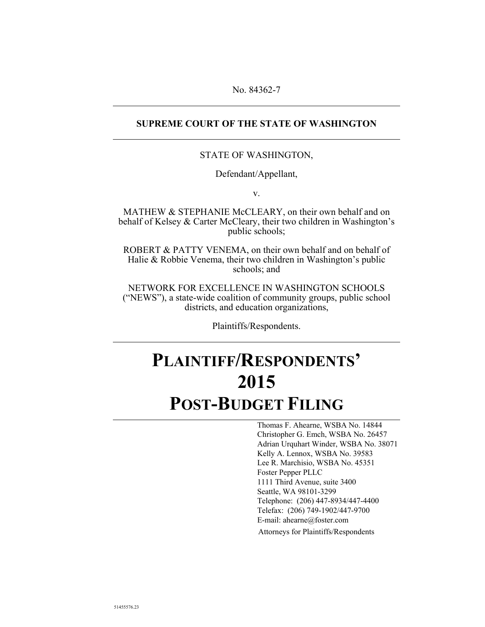## **SUPREME COURT OF THE STATE OF WASHINGTON**

## STATE OF WASHINGTON,

Defendant/Appellant,

v.

MATHEW & STEPHANIE McCLEARY, on their own behalf and on behalf of Kelsey & Carter McCleary, their two children in Washington's public schools;

ROBERT & PATTY VENEMA, on their own behalf and on behalf of Halie & Robbie Venema, their two children in Washington's public schools; and

NETWORK FOR EXCELLENCE IN WASHINGTON SCHOOLS ("NEWS"), a state-wide coalition of community groups, public school districts, and education organizations,

Plaintiffs/Respondents.

## **PLAINTIFF/RESPONDENTS' 2015 POST-BUDGET FILING**

 Thomas F. Ahearne, WSBA No. 14844 Christopher G. Emch, WSBA No. 26457 Adrian Urquhart Winder, WSBA No. 38071 Kelly A. Lennox, WSBA No. 39583 Lee R. Marchisio, WSBA No. 45351 Foster Pepper PLLC 1111 Third Avenue, suite 3400 Seattle, WA 98101-3299 Telephone: (206) 447-8934/447-4400 Telefax: (206) 749-1902/447-9700 E-mail: ahearne@foster.com Attorneys for Plaintiffs/Respondents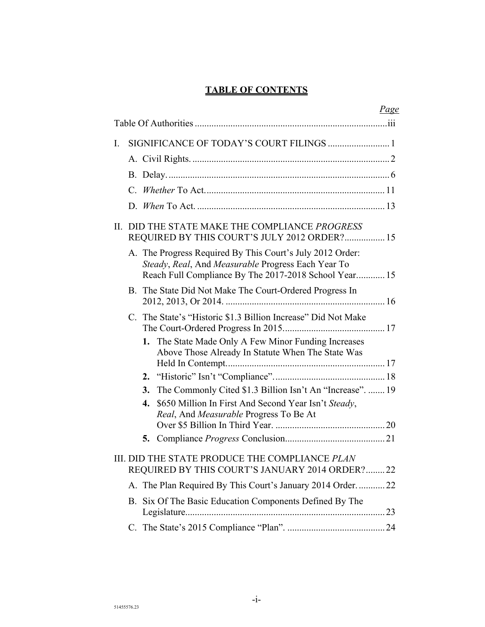## **TABLE OF CONTENTS**

|    |         |    |                                                                                                                                                                          | <u>Page</u> |
|----|---------|----|--------------------------------------------------------------------------------------------------------------------------------------------------------------------------|-------------|
|    |         |    |                                                                                                                                                                          |             |
| I. |         |    |                                                                                                                                                                          |             |
|    |         |    |                                                                                                                                                                          |             |
|    |         |    |                                                                                                                                                                          |             |
|    | $C_{-}$ |    |                                                                                                                                                                          |             |
|    |         |    |                                                                                                                                                                          |             |
|    |         |    | II. DID THE STATE MAKE THE COMPLIANCE PROGRESS<br>REQUIRED BY THIS COURT'S JULY 2012 ORDER? 15                                                                           |             |
|    |         |    | A. The Progress Required By This Court's July 2012 Order:<br>Steady, Real, And Measurable Progress Each Year To<br>Reach Full Compliance By The 2017-2018 School Year 15 |             |
|    |         |    | B. The State Did Not Make The Court-Ordered Progress In                                                                                                                  |             |
|    |         |    | C. The State's "Historic \$1.3 Billion Increase" Did Not Make                                                                                                            |             |
|    |         |    | 1. The State Made Only A Few Minor Funding Increases<br>Above Those Already In Statute When The State Was                                                                |             |
|    |         |    |                                                                                                                                                                          |             |
|    |         | 3. | The Commonly Cited \$1.3 Billion Isn't An "Increase".  19                                                                                                                |             |
|    |         | 4. | \$650 Million In First And Second Year Isn't Steady,<br>Real, And Measurable Progress To Be At                                                                           |             |
|    |         |    |                                                                                                                                                                          |             |
|    |         |    |                                                                                                                                                                          |             |
|    |         |    | III. DID THE STATE PRODUCE THE COMPLIANCE PLAN<br>REQUIRED BY THIS COURT'S JANUARY 2014 ORDER?22                                                                         |             |
|    |         |    | A. The Plan Required By This Court's January 2014 Order22                                                                                                                |             |
|    |         |    | B. Six Of The Basic Education Components Defined By The                                                                                                                  |             |
|    |         |    |                                                                                                                                                                          |             |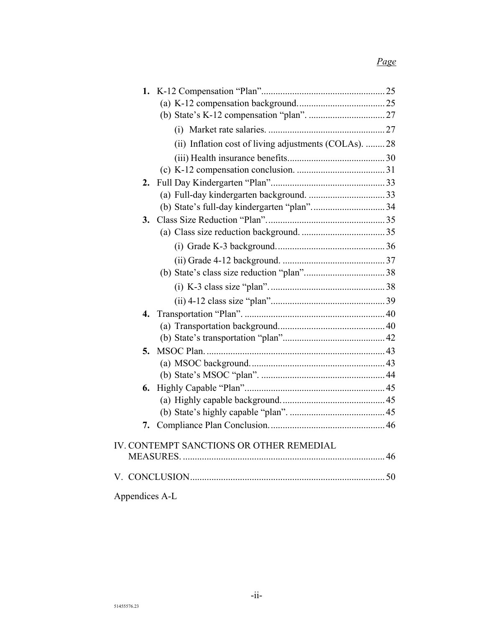## *Page*

|                | (ii) Inflation cost of living adjustments (COLAs).  28 |  |
|----------------|--------------------------------------------------------|--|
|                |                                                        |  |
|                |                                                        |  |
| 2.             |                                                        |  |
|                |                                                        |  |
|                |                                                        |  |
| 3.             |                                                        |  |
|                |                                                        |  |
|                |                                                        |  |
|                |                                                        |  |
|                |                                                        |  |
|                |                                                        |  |
|                |                                                        |  |
|                |                                                        |  |
|                |                                                        |  |
|                |                                                        |  |
| 5.             |                                                        |  |
|                |                                                        |  |
|                |                                                        |  |
| 6.             |                                                        |  |
|                |                                                        |  |
|                |                                                        |  |
| 7.             |                                                        |  |
|                | IV. CONTEMPT SANCTIONS OR OTHER REMEDIAL               |  |
|                |                                                        |  |
|                |                                                        |  |
| Appendices A-L |                                                        |  |
|                |                                                        |  |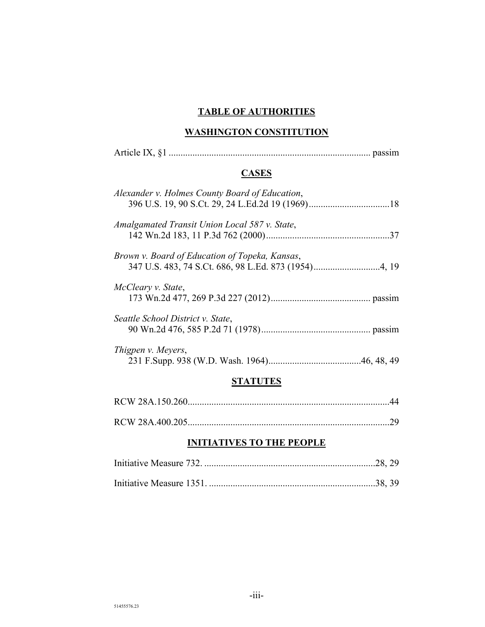## **TABLE OF AUTHORITIES**

## **WASHINGTON CONSTITUTION**

| <b>CASES</b>                                   |
|------------------------------------------------|
| Alexander v. Holmes County Board of Education, |
| Amalgamated Transit Union Local 587 v. State,  |
| Brown v. Board of Education of Topeka, Kansas, |
| McCleary v. State,                             |
| Seattle School District v. State,              |
| Thigpen v. Meyers,                             |
| STATUTES                                       |

## **INITIATIVES TO THE PEOPLE**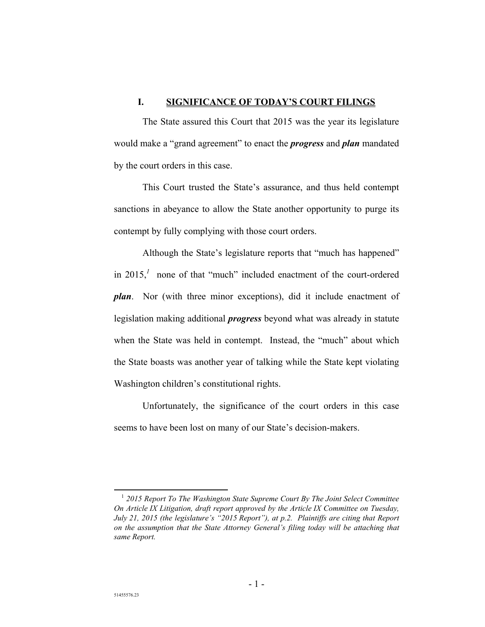### **I. SIGNIFICANCE OF TODAY'S COURT FILINGS**

The State assured this Court that 2015 was the year its legislature would make a "grand agreement" to enact the *progress* and *plan* mandated by the court orders in this case.

This Court trusted the State's assurance, and thus held contempt sanctions in abeyance to allow the State another opportunity to purge its contempt by fully complying with those court orders.

Although the State's legislature reports that "much has happened" in 2015, $^1$  none of that "much" included enactment of the court-ordered *plan*. Nor (with three minor exceptions), did it include enactment of legislation making additional *progress* beyond what was already in statute when the State was held in contempt. Instead, the "much" about which the State boasts was another year of talking while the State kept violating Washington children's constitutional rights.

Unfortunately, the significance of the court orders in this case seems to have been lost on many of our State's decision-makers.

 <sup>1</sup>  *2015 Report To The Washington State Supreme Court By The Joint Select Committee On Article IX Litigation, draft report approved by the Article IX Committee on Tuesday, July 21, 2015 (the legislature's "2015 Report"), at p.2. Plaintiffs are citing that Report on the assumption that the State Attorney General's filing today will be attaching that same Report.*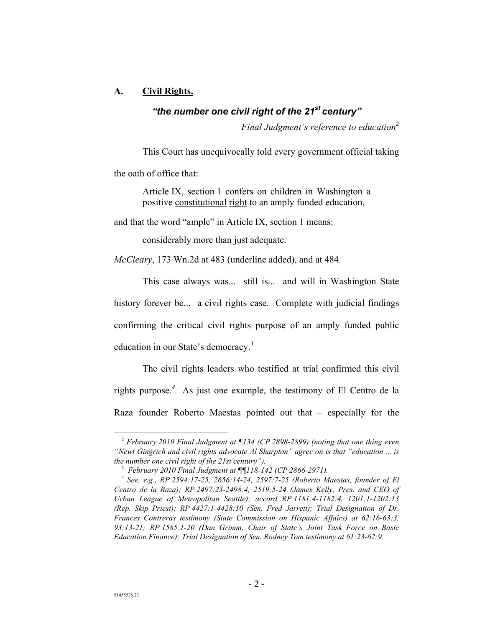## **A. Civil Rights.**

## *"the number one civil right of the 21st century"*

*Final Judgment's reference to education*<sup>2</sup>

This Court has unequivocally told every government official taking

the oath of office that:

Article IX, section 1 confers on children in Washington a positive constitutional right to an amply funded education,

and that the word "ample" in Article IX, section 1 means:

considerably more than just adequate.

*McCleary*, 173 Wn.2d at 483 (underline added), and at 484.

This case always was... still is... and will in Washington State history forever be... a civil rights case. Complete with judicial findings confirming the critical civil rights purpose of an amply funded public education in our State's democracy.*<sup>3</sup>*

The civil rights leaders who testified at trial confirmed this civil rights purpose.*<sup>4</sup>* As just one example, the testimony of El Centro de la Raza founder Roberto Maestas pointed out that – especially for the

<sup>&</sup>lt;sup>2</sup> February 2010 Final Judgment at ¶134 (CP 2898-2899) (noting that one thing even *"Newt Gingrich and civil rights advocate Al Sharpton" agree on is that "education ... is the number one civil right of the 21st century").* 

<sup>3</sup>  *February 2010 Final Judgment at ¶¶118-142 (CP 2866-2971).* 

<sup>4</sup>  *See, e.g., RP 2594:17-25, 2656:14-24, 2597:7-25 (Roberto Maestas, founder of El Centro de la Raza); RP 2497:23-2498:4, 2519:5-24 (James Kelly, Pres. and CEO of Urban League of Metropolitan Seattle); accord RP 1181:4-1182:4, 1201:1-1202:13 (Rep. Skip Priest); RP 4427:1-4428:10 (Sen. Fred Jarrett); Trial Designation of Dr. Frances Contreras testimony (State Commission on Hispanic Affairs) at 62:16-63:3, 93:13-21; RP 1585:1-20 (Dan Grimm, Chair of State's Joint Task Force on Basic Education Finance); Trial Designation of Sen. Rodney Tom testimony at 61:23-62:9.*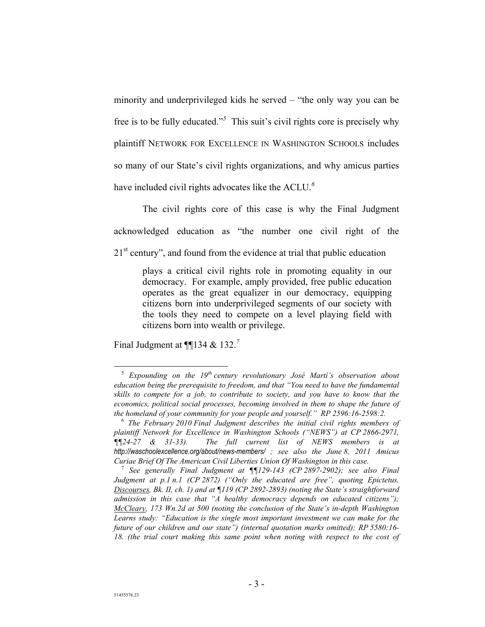minority and underprivileged kids he served – "the only way you can be free is to be fully educated."*<sup>5</sup>* This suit's civil rights core is precisely why plaintiff NETWORK FOR EXCELLENCE IN WASHINGTON SCHOOLS includes so many of our State's civil rights organizations, and why amicus parties have included civil rights advocates like the ACLU.*<sup>6</sup>*

The civil rights core of this case is why the Final Judgment acknowledged education as "the number one civil right of the 21<sup>st</sup> century", and found from the evidence at trial that public education

plays a critical civil rights role in promoting equality in our democracy. For example, amply provided, free public education operates as the great equalizer in our democracy, equipping citizens born into underprivileged segments of our society with the tools they need to compete on a level playing field with citizens born into wealth or privilege.

Final Judgment at ¶¶134 & 132.*<sup>7</sup>*

<sup>&</sup>lt;sup>5</sup> Expounding on the 19<sup>th</sup> century revolutionary José Martí's observation about *education being the prerequisite to freedom, and that "You need to have the fundamental skills to compete for a job, to contribute to society, and you have to know that the economics, political social processes, becoming involved in them to shape the future of the homeland of your community for your people and yourself." RP 2596:16-2598:2.* 

<sup>6</sup>  *The February 2010 Final Judgment describes the initial civil rights members of plaintiff Network for Excellence in Washington Schools ("NEWS") at CP 2866-2971, ¶¶24-27 & 31-33). The full current list of NEWS members is at http://waschoolexcellence.org/about/news-members/ ; see also the June 8, 2011 Amicus Curiae Brief Of The American Civil Liberties Union Of Washington in this case.* 

<sup>7</sup>  *See generally Final Judgment at ¶¶129-143 (CP 2897-2902); see also Final Judgment at p.1 n.1 (CP 2872) ("Only the educated are free", quoting Epictetus, Discourses, Bk. II, ch. 1) and at ¶119 (CP 2892-2893) (noting the State's straightforward admission in this case that "A healthy democracy depends on educated citizens"); McCleary, 173 Wn.2d at 500 (noting the conclusion of the State's in-depth Washington Learns study: "Education is the single most important investment we can make for the future of our children and our state") (internal quotation marks omitted); RP 5580:16- 18. (the trial court making this same point when noting with respect to the cost of*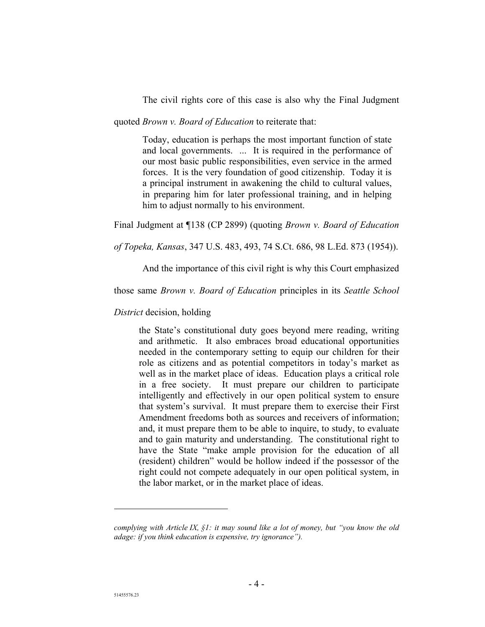The civil rights core of this case is also why the Final Judgment

quoted *Brown v. Board of Education* to reiterate that:

Today, education is perhaps the most important function of state and local governments. ... It is required in the performance of our most basic public responsibilities, even service in the armed forces. It is the very foundation of good citizenship. Today it is a principal instrument in awakening the child to cultural values, in preparing him for later professional training, and in helping him to adjust normally to his environment.

Final Judgment at ¶138 (CP 2899) (quoting *Brown v. Board of Education* 

*of Topeka, Kansas*, 347 U.S. 483, 493, 74 S.Ct. 686, 98 L.Ed. 873 (1954)).

And the importance of this civil right is why this Court emphasized

those same *Brown v. Board of Education* principles in its *Seattle School* 

*District* decision, holding

the State's constitutional duty goes beyond mere reading, writing and arithmetic. It also embraces broad educational opportunities needed in the contemporary setting to equip our children for their role as citizens and as potential competitors in today's market as well as in the market place of ideas. Education plays a critical role in a free society. It must prepare our children to participate intelligently and effectively in our open political system to ensure that system's survival. It must prepare them to exercise their First Amendment freedoms both as sources and receivers of information; and, it must prepare them to be able to inquire, to study, to evaluate and to gain maturity and understanding. The constitutional right to have the State "make ample provision for the education of all (resident) children" would be hollow indeed if the possessor of the right could not compete adequately in our open political system, in the labor market, or in the market place of ideas.

 $\overline{a}$ 

*complying with Article IX, §1: it may sound like a lot of money, but "you know the old adage: if you think education is expensive, try ignorance").*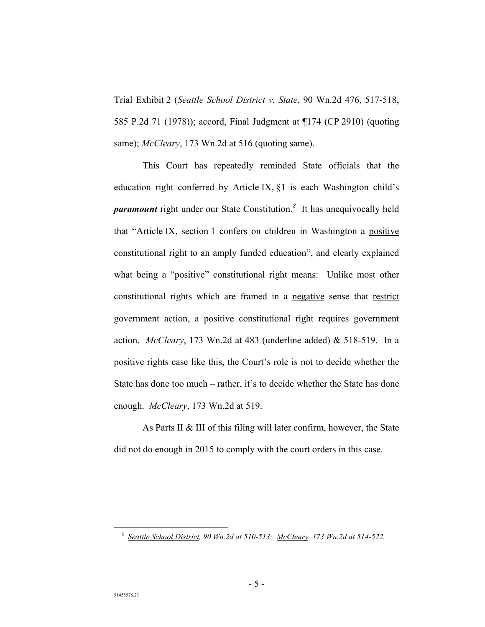Trial Exhibit 2 (*Seattle School District v. State*, 90 Wn.2d 476, 517-518, 585 P.2d 71 (1978)); accord, Final Judgment at ¶174 (CP 2910) (quoting same); *McCleary*, 173 Wn.2d at 516 (quoting same).

This Court has repeatedly reminded State officials that the education right conferred by Article IX, §1 is each Washington child's *paramount* right under our State Constitution.*<sup>8</sup>* It has unequivocally held that "Article IX, section 1 confers on children in Washington a positive constitutional right to an amply funded education", and clearly explained what being a "positive" constitutional right means: Unlike most other constitutional rights which are framed in a negative sense that restrict government action, a positive constitutional right requires government action. *McCleary*, 173 Wn.2d at 483 (underline added) & 518-519. In a positive rights case like this, the Court's role is not to decide whether the State has done too much – rather, it's to decide whether the State has done enough. *McCleary*, 173 Wn.2d at 519.

As Parts II & III of this filing will later confirm, however, the State did not do enough in 2015 to comply with the court orders in this case.

 <sup>8</sup>  *Seattle School District, 90 Wn.2d at 510-513; McCleary, 173 Wn.2d at 514-522.*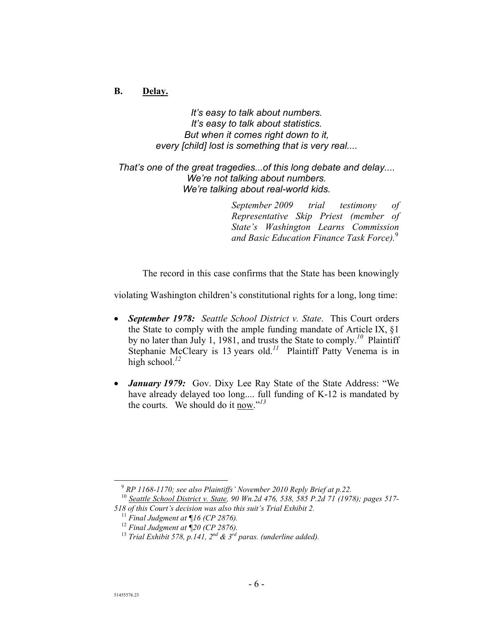## **B. Delay.**

*It's easy to talk about numbers. It's easy to talk about statistics. But when it comes right down to it, every [child] lost is something that is very real....* 

## *That's one of the great tragedies...of this long debate and delay.... We're not talking about numbers. We're talking about real-world kids.*

*September 2009 trial testimony of Representative Skip Priest (member of State's Washington Learns Commission and Basic Education Finance Task Force).*<sup>9</sup>

The record in this case confirms that the State has been knowingly

violating Washington children's constitutional rights for a long, long time:

- *September 1978: Seattle School District v. State*. This Court orders the State to comply with the ample funding mandate of Article IX, §1 by no later than July 1, 1981, and trusts the State to comply.*<sup>10</sup>* Plaintiff Stephanie McCleary is 13 years old.<sup>11</sup> Plaintiff Patty Venema is in high school.<sup>12</sup>
- *January 1979:* Gov. Dixy Lee Ray State of the State Address: "We have already delayed too long.... full funding of K-12 is mandated by the courts. We should do it now."*<sup>13</sup>*

<sup>&</sup>lt;sup>9</sup> RP 1168-1170; see also Plaintiffs' November 2010 Reply Brief at p.22.

<sup>10</sup> *Seattle School District v. State, 90 Wn.2d 476, 538, 585 P.2d 71 (1978); pages 517- 518 of this Court's decision was also this suit's Trial Exhibit 2.* 

<sup>11</sup> *Final Judgment at ¶16 (CP 2876).* 

<sup>12</sup> *Final Judgment at ¶20 (CP 2876).* 

<sup>&</sup>lt;sup>13</sup> Trial Exhibit 578, p. 141,  $2^{nd}$  &  $3^{rd}$  paras. (underline added).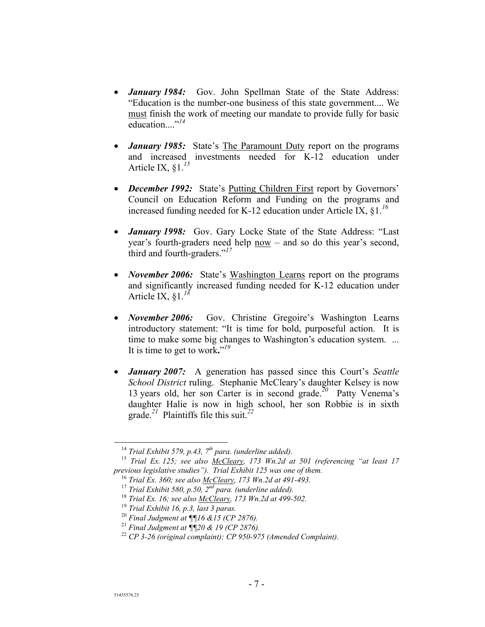- *January 1984:* Gov. John Spellman State of the State Address: "Education is the number-one business of this state government.... We must finish the work of meeting our mandate to provide fully for basic education....<sup>"14</sup>
- *January 1985:* State's The Paramount Duty report on the programs and increased investments needed for K-12 education under Article IX, §1.*<sup>15</sup>*
- *December 1992:* State's Putting Children First report by Governors' Council on Education Reform and Funding on the programs and increased funding needed for K-12 education under Article IX, §1.*<sup>16</sup>*
- *January 1998:* Gov. Gary Locke State of the State Address: "Last year's fourth-graders need help now – and so do this year's second, third and fourth-graders."*17*
- *November 2006:* State's Washington Learns report on the programs and significantly increased funding needed for K-12 education under Article IX, §1.*<sup>18</sup>*
- *November 2006:* Gov. Christine Gregoire's Washington Learns introductory statement: "It is time for bold, purposeful action. It is time to make some big changes to Washington's education system. ... It is time to get to work**.**" *19*
- *January 2007:* A generation has passed since this Court's *Seattle School District* ruling. Stephanie McCleary's daughter Kelsey is now 13 years old, her son Carter is in second grade.*<sup>20</sup>* Patty Venema's daughter Halie is now in high school, her son Robbie is in sixth grade.*<sup>21</sup>* Plaintiffs file this suit.*<sup>22</sup>*

 <sup>14</sup> *Trial Exhibit 579, p.43, 7th para. (underline added).* 

<sup>15</sup> *Trial Ex. 125; see also McCleary, 173 Wn.2d at 501 (referencing "at least 17 previous legislative studies"). Trial Exhibit 125 was one of them.* 

<sup>16</sup> *Trial Ex. 360; see also McCleary, 173 Wn.2d at 491-493.* 

<sup>17</sup> *Trial Exhibit 580, p.50, 2nd para. (underline added).* 

<sup>18</sup> *Trial Ex. 16; see also McCleary, 173 Wn.2d at 499-502.* 

<sup>19</sup> *Trial Exhibit 16, p.3, last 3 paras.* 

<sup>20</sup> *Final Judgment at ¶¶16 &15 (CP 2876).*

<sup>21</sup> *Final Judgment at ¶¶20 & 19 (CP 2876).* 

<sup>22</sup> *CP 3-26 (original complaint); CP 950-975 (Amended Complaint).*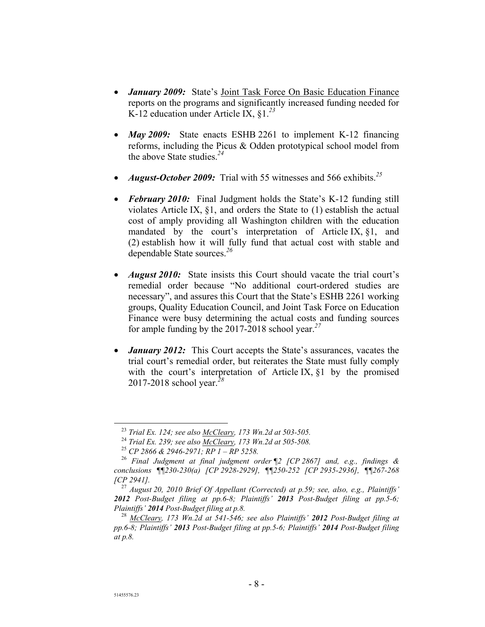- *January 2009:* State's Joint Task Force On Basic Education Finance reports on the programs and significantly increased funding needed for K-12 education under Article IX, §1.*<sup>23</sup>*
- *May 2009:* State enacts ESHB 2261 to implement K-12 financing reforms, including the Picus & Odden prototypical school model from the above State studies.*<sup>24</sup>*
- *August-October 2009:* Trial with 55 witnesses and 566 exhibits.*<sup>25</sup>*
- **February 2010:** Final Judgment holds the State's K-12 funding still violates Article IX, §1, and orders the State to (1) establish the actual cost of amply providing all Washington children with the education mandated by the court's interpretation of Article IX, §1, and (2) establish how it will fully fund that actual cost with stable and dependable State sources.*<sup>26</sup>*
- *August 2010:* State insists this Court should vacate the trial court's remedial order because "No additional court-ordered studies are necessary", and assures this Court that the State's ESHB 2261 working groups, Quality Education Council, and Joint Task Force on Education Finance were busy determining the actual costs and funding sources for ample funding by the 2017-2018 school year.*<sup>27</sup>*
- *January 2012:* This Court accepts the State's assurances, vacates the trial court's remedial order, but reiterates the State must fully comply with the court's interpretation of Article IX,  $\S1$  by the promised 2017-2018 school year.*<sup>28</sup>*

 <sup>23</sup> *Trial Ex. 124; see also McCleary, 173 Wn.2d at 503-505.* 

<sup>24</sup> *Trial Ex. 239; see also McCleary, 173 Wn.2d at 505-508.* 

<sup>25</sup> *CP 2866 & 2946-2971; RP 1 – RP 5258.* 

<sup>26</sup> *Final Judgment at final judgment order ¶2 [CP 2867] and, e.g., findings & conclusions ¶¶230-230(a) [CP 2928-2929], ¶¶250-252 [CP 2935-2936], ¶¶267-268 [CP 2941].* 

<sup>27</sup> *August 20, 2010 Brief Of Appellant (Corrected) at p.59; see, also, e.g., Plaintiffs' 2012 Post-Budget filing at pp.6-8; Plaintiffs' 2013 Post-Budget filing at pp.5-6; Plaintiffs' 2014 Post-Budget filing at p.8.* 

<sup>28</sup> *McCleary, 173 Wn.2d at 541-546; see also Plaintiffs' 2012 Post-Budget filing at pp.6-8; Plaintiffs' 2013 Post-Budget filing at pp.5-6; Plaintiffs' 2014 Post-Budget filing at p.8.*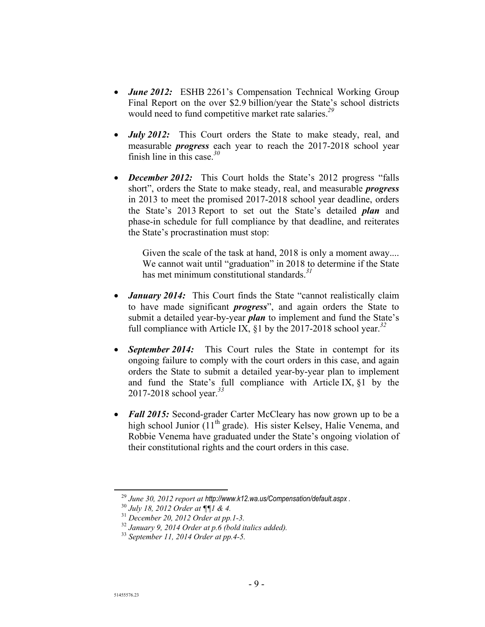- *June 2012:* ESHB 2261's Compensation Technical Working Group Final Report on the over \$2.9 billion/year the State's school districts would need to fund competitive market rate salaries.*<sup>29</sup>*
- *July 2012:* This Court orders the State to make steady, real, and measurable *progress* each year to reach the 2017-2018 school year finish line in this case.*<sup>30</sup>*
- *December 2012:* This Court holds the State's 2012 progress "falls short", orders the State to make steady, real, and measurable *progress* in 2013 to meet the promised 2017-2018 school year deadline, orders the State's 2013 Report to set out the State's detailed *plan* and phase-in schedule for full compliance by that deadline, and reiterates the State's procrastination must stop:

Given the scale of the task at hand, 2018 is only a moment away.... We cannot wait until "graduation" in 2018 to determine if the State has met minimum constitutional standards.*<sup>31</sup>*

- *January 2014:* This Court finds the State "cannot realistically claim to have made significant *progress*", and again orders the State to submit a detailed year-by-year *plan* to implement and fund the State's full compliance with Article IX, §1 by the 2017-2018 school year.*<sup>32</sup>*
- *September 2014:* This Court rules the State in contempt for its ongoing failure to comply with the court orders in this case, and again orders the State to submit a detailed year-by-year plan to implement and fund the State's full compliance with Article IX, §1 by the 2017-2018 school year.*<sup>33</sup>*
- Fall 2015: Second-grader Carter McCleary has now grown up to be a high school Junior  $(11<sup>th</sup>$  grade). His sister Kelsey, Halie Venema, and Robbie Venema have graduated under the State's ongoing violation of their constitutional rights and the court orders in this case.

 <sup>29</sup> *June 30, 2012 report at http://www.k12.wa.us/Compensation/default.aspx .*

<sup>30</sup> *July 18, 2012 Order at ¶¶1 & 4.* 

<sup>31</sup> *December 20, 2012 Order at pp.1-3.* 

<sup>32</sup> *January 9, 2014 Order at p.6 (bold italics added).* 

<sup>33</sup> *September 11, 2014 Order at pp.4-5.*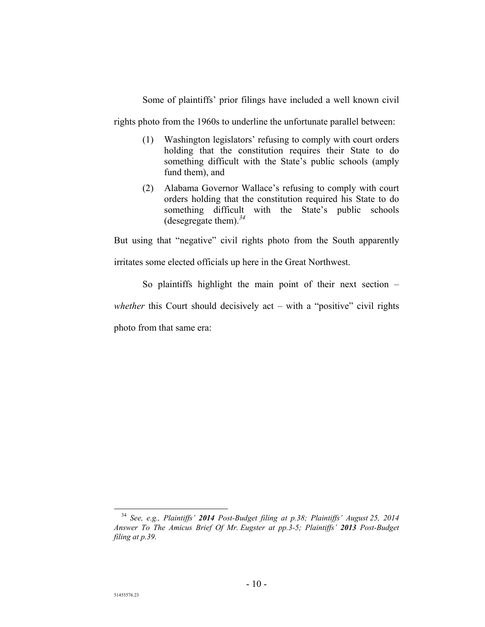Some of plaintiffs' prior filings have included a well known civil

rights photo from the 1960s to underline the unfortunate parallel between:

- (1) Washington legislators' refusing to comply with court orders holding that the constitution requires their State to do something difficult with the State's public schools (amply fund them), and
- (2) Alabama Governor Wallace's refusing to comply with court orders holding that the constitution required his State to do something difficult with the State's public schools (desegregate them).*<sup>34</sup>*

But using that "negative" civil rights photo from the South apparently

irritates some elected officials up here in the Great Northwest.

So plaintiffs highlight the main point of their next section – *whether* this Court should decisively act – with a "positive" civil rights photo from that same era:

 <sup>34</sup> *See, e.g., Plaintiffs' 2014 Post-Budget filing at p.38; Plaintiffs' August 25, 2014 Answer To The Amicus Brief Of Mr. Eugster at pp.3-5; Plaintiffs' 2013 Post-Budget filing at p.39.*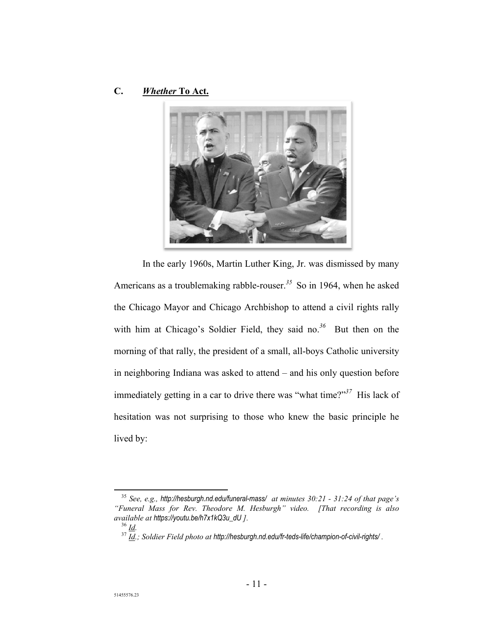## **C.** *Whether* **To Act.**



In the early 1960s, Martin Luther King, Jr. was dismissed by many Americans as a troublemaking rabble-rouser.*<sup>35</sup>* So in 1964, when he asked the Chicago Mayor and Chicago Archbishop to attend a civil rights rally with him at Chicago's Soldier Field, they said no.<sup>36</sup> But then on the morning of that rally, the president of a small, all-boys Catholic university in neighboring Indiana was asked to attend – and his only question before immediately getting in a car to drive there was "what time?"*<sup>37</sup>* His lack of hesitation was not surprising to those who knew the basic principle he lived by:

 <sup>35</sup> *See, e.g., http://hesburgh.nd.edu/funeral-mass/ at minutes 30:21 - 31:24 of that page's "Funeral Mass for Rev. Theodore M. Hesburgh" video. [That recording is also available at https://youtu.be/h7x1kQ3u\_dU ].* <sup>36</sup> *Id.* 

<sup>37</sup> *Id.; Soldier Field photo at http://hesburgh.nd.edu/fr-teds-life/champion-of-civil-rights/ .*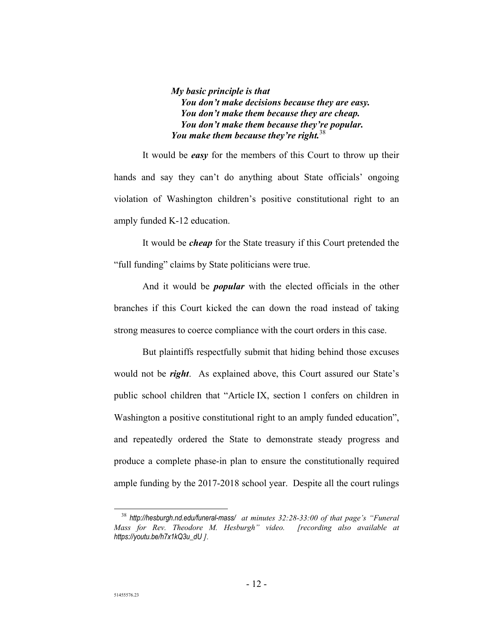*My basic principle is that You don't make decisions because they are easy. You don't make them because they are cheap. You don't make them because they're popular. You make them because they're right.*<sup>38</sup>

It would be *easy* for the members of this Court to throw up their hands and say they can't do anything about State officials' ongoing violation of Washington children's positive constitutional right to an amply funded K-12 education.

It would be *cheap* for the State treasury if this Court pretended the "full funding" claims by State politicians were true.

And it would be *popular* with the elected officials in the other branches if this Court kicked the can down the road instead of taking strong measures to coerce compliance with the court orders in this case.

But plaintiffs respectfully submit that hiding behind those excuses would not be *right*. As explained above, this Court assured our State's public school children that "Article IX, section 1 confers on children in Washington a positive constitutional right to an amply funded education", and repeatedly ordered the State to demonstrate steady progress and produce a complete phase-in plan to ensure the constitutionally required ample funding by the 2017-2018 school year. Despite all the court rulings

 <sup>38</sup> *http://hesburgh.nd.edu/funeral-mass/ at minutes 32:28-33:00 of that page's "Funeral Mass for Rev. Theodore M. Hesburgh" video. [recording also available at https://youtu.be/h7x1kQ3u\_dU ].*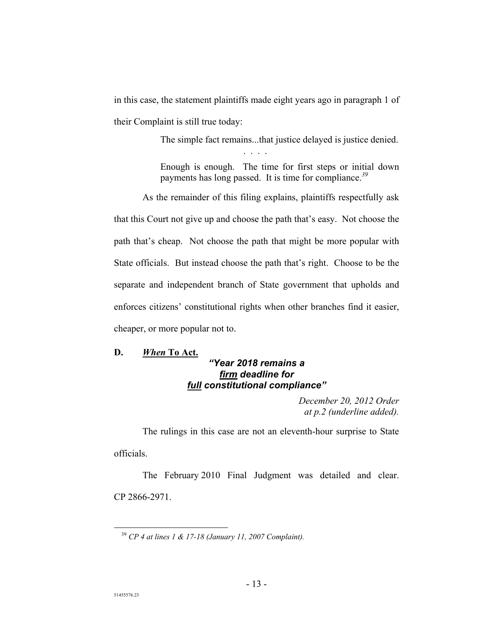in this case, the statement plaintiffs made eight years ago in paragraph 1 of their Complaint is still true today:

. . . .

The simple fact remains...that justice delayed is justice denied.

Enough is enough. The time for first steps or initial down payments has long passed. It is time for compliance.*<sup>39</sup>*

As the remainder of this filing explains, plaintiffs respectfully ask that this Court not give up and choose the path that's easy. Not choose the path that's cheap. Not choose the path that might be more popular with State officials. But instead choose the path that's right. Choose to be the separate and independent branch of State government that upholds and enforces citizens' constitutional rights when other branches find it easier, cheaper, or more popular not to.

**D.** *When* **To Act.** 

## *"Year 2018 remains a firm deadline for full constitutional compliance"*

*December 20, 2012 Order at p.2 (underline added).* 

The rulings in this case are not an eleventh-hour surprise to State officials.

The February 2010 Final Judgment was detailed and clear. CP 2866-2971.

 <sup>39</sup> *CP 4 at lines 1 & 17-18 (January 11, 2007 Complaint).*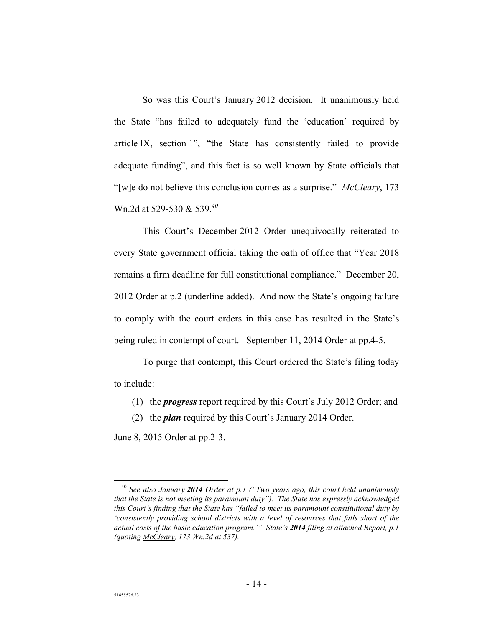So was this Court's January 2012 decision. It unanimously held the State "has failed to adequately fund the 'education' required by article IX, section 1", "the State has consistently failed to provide adequate funding", and this fact is so well known by State officials that "[w]e do not believe this conclusion comes as a surprise." *McCleary*, 173 Wn.2d at 529-530 & 539.*<sup>40</sup>*

This Court's December 2012 Order unequivocally reiterated to every State government official taking the oath of office that "Year 2018 remains a firm deadline for full constitutional compliance." December 20, 2012 Order at p.2 (underline added). And now the State's ongoing failure to comply with the court orders in this case has resulted in the State's being ruled in contempt of court. September 11, 2014 Order at pp.4-5.

To purge that contempt, this Court ordered the State's filing today to include:

- (1) the *progress* report required by this Court's July 2012 Order; and
- (2) the *plan* required by this Court's January 2014 Order.

June 8, 2015 Order at pp.2-3.

 <sup>40</sup> *See also January 2014 Order at p.1 ("Two years ago, this court held unanimously that the State is not meeting its paramount duty"). The State has expressly acknowledged this Court's finding that the State has "failed to meet its paramount constitutional duty by 'consistently providing school districts with a level of resources that falls short of the actual costs of the basic education program.'" State's 2014 filing at attached Report, p.1 (quoting McCleary, 173 Wn.2d at 537).*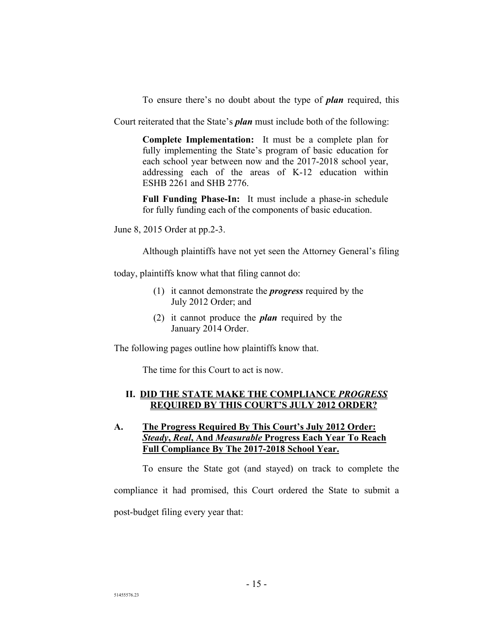To ensure there's no doubt about the type of *plan* required, this

Court reiterated that the State's *plan* must include both of the following:

**Complete Implementation:** It must be a complete plan for fully implementing the State's program of basic education for each school year between now and the 2017-2018 school year, addressing each of the areas of K-12 education within ESHB 2261 and SHB 2776.

**Full Funding Phase-In:** It must include a phase-in schedule for fully funding each of the components of basic education.

June 8, 2015 Order at pp.2-3.

Although plaintiffs have not yet seen the Attorney General's filing

today, plaintiffs know what that filing cannot do:

- (1) it cannot demonstrate the *progress* required by the July 2012 Order; and
- (2) it cannot produce the *plan* required by the January 2014 Order.

The following pages outline how plaintiffs know that.

The time for this Court to act is now.

## **II. DID THE STATE MAKE THE COMPLIANCE** *PROGRESS* **REQUIRED BY THIS COURT'S JULY 2012 ORDER?**

## **A. The Progress Required By This Court's July 2012 Order:**  *Steady***,** *Real***, And** *Measurable* **Progress Each Year To Reach Full Compliance By The 2017-2018 School Year.**

To ensure the State got (and stayed) on track to complete the compliance it had promised, this Court ordered the State to submit a post-budget filing every year that: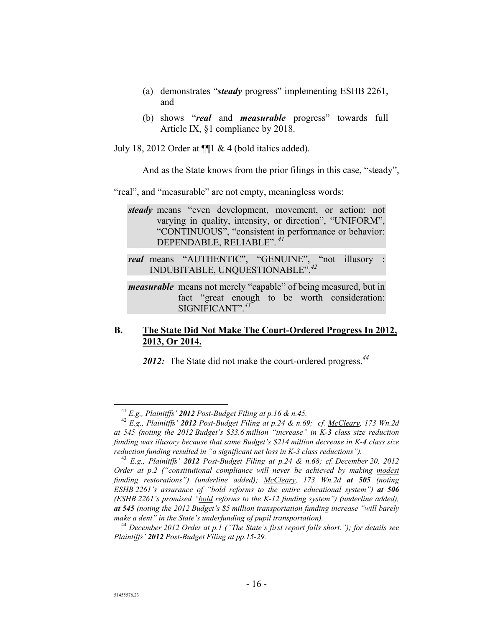- (a) demonstrates "*steady* progress" implementing ESHB 2261, and
- (b) shows "*real* and *measurable* progress" towards full Article IX, §1 compliance by 2018.

July 18, 2012 Order at  $\P$ 1 & 4 (bold italics added).

And as the State knows from the prior filings in this case, "steady",

"real", and "measurable" are not empty, meaningless words:

*steady* means "even development, movement, or action: not varying in quality, intensity, or direction", "UNIFORM", "CONTINUOUS", "consistent in performance or behavior: DEPENDABLE, RELIABLE".*<sup>41</sup>*

real means "AUTHENTIC", "GENUINE", "not illusory INDUBITABLE, UNQUESTIONABLE".*<sup>42</sup>*

*measurable* means not merely "capable" of being measured, but in fact "great enough to be worth consideration: SIGNIFICANT".*<sup>43</sup>*

## **B. The State Did Not Make The Court-Ordered Progress In 2012, 2013, Or 2014.**

*2012:* The State did not make the court-ordered progress.*<sup>44</sup>*

 <sup>41</sup> *E.g., Plainitffs' 2012 Post-Budget Filing at p.16 & n.45.* 

<sup>42</sup> *E.g., Plainitffs' 2012 Post-Budget Filing at p.24 & n.69; cf. McCleary, 173 Wn.2d at 545 (noting the 2012 Budget's \$33.6 million "increase" in K-3 class size reduction funding was illusory because that same Budget's \$214 million decrease in K-4 class size reduction funding resulted in "a significant net loss in K-3 class reductions").* 

<sup>43</sup> *E.g., Plainitffs' 2012 Post-Budget Filing at p.24 & n.68; cf. December 20, 2012 Order at p.2 ("constitutional compliance will never be achieved by making modest funding restorations") (underline added); McCleary, 173 Wn.2d at 505 (noting ESHB 2261's assurance of "bold reforms to the entire educational system") at 506 (ESHB 2261's promised "bold reforms to the K-12 funding system") (underline added), at 545 (noting the 2012 Budget's \$5 million transportation funding increase "will barely make a dent" in the State's underfunding of pupil transportation).* 

<sup>44</sup> *December 2012 Order at p.1 ("The State's first report falls short."); for details see Plaintiffs' 2012 Post-Budget Filing at pp.15-29.*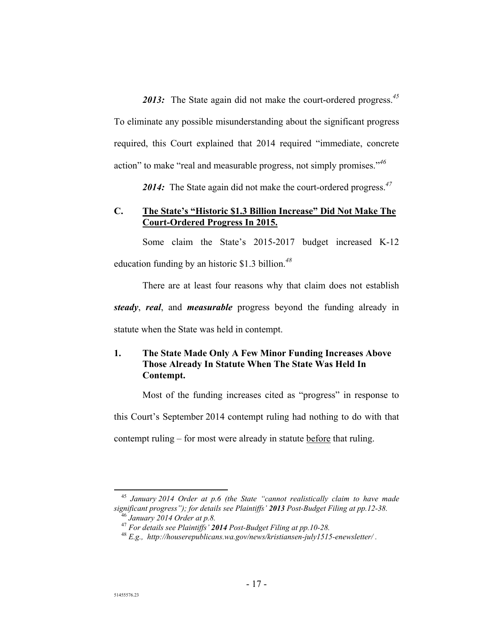*2013:* The State again did not make the court-ordered progress.*<sup>45</sup>* To eliminate any possible misunderstanding about the significant progress required, this Court explained that 2014 required "immediate, concrete action" to make "real and measurable progress, not simply promises."*<sup>46</sup>*

*2014:* The State again did not make the court-ordered progress.*<sup>47</sup>*

## **C. The State's "Historic \$1.3 Billion Increase" Did Not Make The Court-Ordered Progress In 2015.**

Some claim the State's 2015-2017 budget increased K-12 education funding by an historic \$1.3 billion.*<sup>48</sup>*

There are at least four reasons why that claim does not establish *steady*, *real*, and *measurable* progress beyond the funding already in

statute when the State was held in contempt.

## **1. The State Made Only A Few Minor Funding Increases Above Those Already In Statute When The State Was Held In Contempt.**

Most of the funding increases cited as "progress" in response to

this Court's September 2014 contempt ruling had nothing to do with that

contempt ruling – for most were already in statute before that ruling.

 <sup>45</sup> *January 2014 Order at p.6 (the State "cannot realistically claim to have made significant progress"); for details see Plaintiffs' 2013 Post-Budget Filing at pp.12-38.* <sup>46</sup> *January 2014 Order at p.8.* 

<sup>47</sup> *For details see Plaintiffs' 2014 Post-Budget Filing at pp.10-28.* 

<sup>48</sup> *E.g., http://houserepublicans.wa.gov/news/kristiansen-july1515-enewsletter/ .*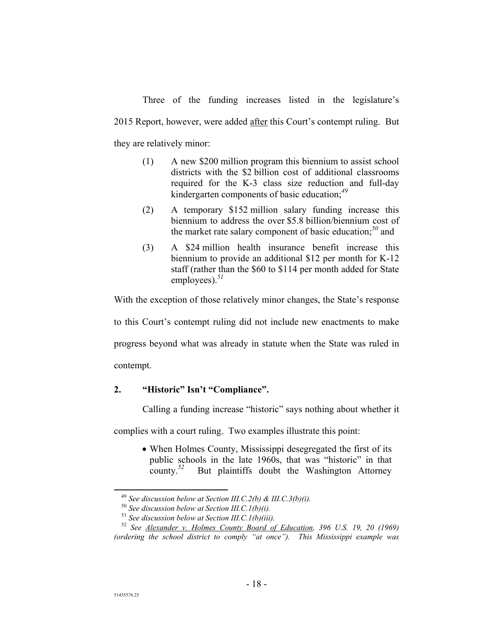Three of the funding increases listed in the legislature's 2015 Report, however, were added after this Court's contempt ruling. But they are relatively minor:

- (1) A new \$200 million program this biennium to assist school districts with the \$2 billion cost of additional classrooms required for the K-3 class size reduction and full-day kindergarten components of basic education;*<sup>49</sup>*
- (2) A temporary \$152 million salary funding increase this biennium to address the over \$5.8 billion/biennium cost of the market rate salary component of basic education;*<sup>50</sup>* and
- (3) A \$24 million health insurance benefit increase this biennium to provide an additional \$12 per month for K-12 staff (rather than the \$60 to \$114 per month added for State employees).*<sup>51</sup>*

With the exception of those relatively minor changes, the State's response

to this Court's contempt ruling did not include new enactments to make

progress beyond what was already in statute when the State was ruled in

contempt.

## **2. "Historic" Isn't "Compliance".**

Calling a funding increase "historic" says nothing about whether it

complies with a court ruling. Two examples illustrate this point:

 When Holmes County, Mississippi desegregated the first of its public schools in the late 1960s, that was "historic" in that county.*<sup>52</sup>* But plaintiffs doubt the Washington Attorney

 <sup>49</sup> *See discussion below at Section III.C.2(b) & III.C.3(b)(i).* 

<sup>50</sup> *See discussion below at Section III.C.1(b)(i).* 

<sup>51</sup> *See discussion below at Section III.C.1(b)(iii).* 

<sup>52</sup> *See Alexander v. Holmes County Board of Education, 396 U.S. 19, 20 (1969) (ordering the school district to comply "at once"). This Mississippi example was*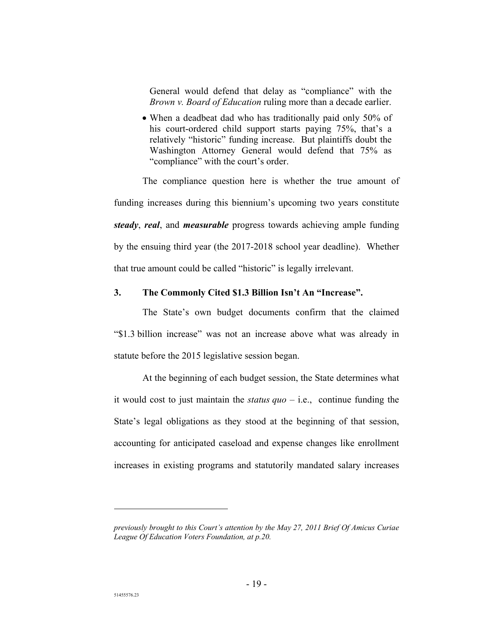General would defend that delay as "compliance" with the *Brown v. Board of Education* ruling more than a decade earlier.

• When a deadbeat dad who has traditionally paid only 50% of his court-ordered child support starts paying 75%, that's a relatively "historic" funding increase. But plaintiffs doubt the Washington Attorney General would defend that 75% as "compliance" with the court's order.

The compliance question here is whether the true amount of funding increases during this biennium's upcoming two years constitute *steady*, *real*, and *measurable* progress towards achieving ample funding by the ensuing third year (the 2017-2018 school year deadline). Whether that true amount could be called "historic" is legally irrelevant.

## **3. The Commonly Cited \$1.3 Billion Isn't An "Increase".**

The State's own budget documents confirm that the claimed "\$1.3 billion increase" was not an increase above what was already in statute before the 2015 legislative session began.

At the beginning of each budget session, the State determines what it would cost to just maintain the *status quo* – i.e., continue funding the State's legal obligations as they stood at the beginning of that session, accounting for anticipated caseload and expense changes like enrollment increases in existing programs and statutorily mandated salary increases

 $\overline{a}$ 

*previously brought to this Court's attention by the May 27, 2011 Brief Of Amicus Curiae League Of Education Voters Foundation, at p.20.*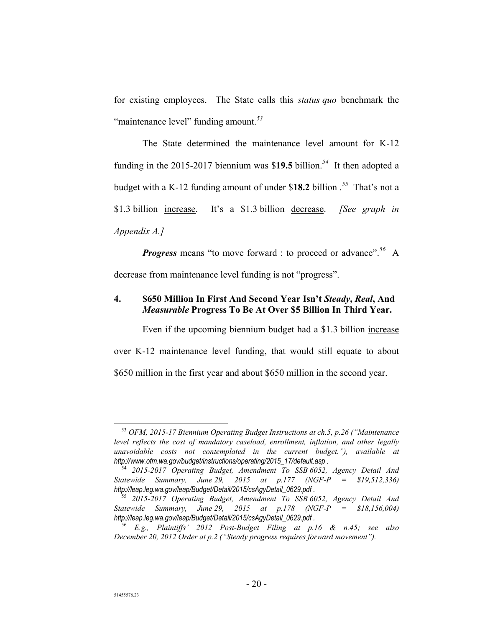for existing employees. The State calls this *status quo* benchmark the "maintenance level" funding amount.*<sup>53</sup>*

The State determined the maintenance level amount for K-12 funding in the 2015-2017 biennium was \$**19.5** billion.*<sup>54</sup>* It then adopted a budget with a K-12 funding amount of under \$**18.2** billion .*<sup>55</sup>* That's not a \$1.3 billion increase. It's a \$1.3 billion decrease. *[See graph in Appendix A.]*

*Progress* means "to move forward : to proceed or advance".*<sup>56</sup>* A decrease from maintenance level funding is not "progress".

## **4. \$650 Million In First And Second Year Isn't** *Steady***,** *Real***, And**  *Measurable* **Progress To Be At Over \$5 Billion In Third Year.**

Even if the upcoming biennium budget had a \$1.3 billion increase over K-12 maintenance level funding, that would still equate to about \$650 million in the first year and about \$650 million in the second year.

 <sup>53</sup> *OFM, 2015-17 Biennium Operating Budget Instructions at ch.5, p.26 ("Maintenance level reflects the cost of mandatory caseload, enrollment, inflation, and other legally unavoidable costs not contemplated in the current budget."), available at http://www.ofm.wa.gov/budget/instructions/operating/2015\_17/default.asp .* 

<sup>54</sup> *2015-2017 Operating Budget, Amendment To SSB 6052, Agency Detail And Statewide Summary, June 29, 2015 at p.177 (NGF-P = \$19,512,336) http://leap.leg.wa.gov/leap/Budget/Detail/2015/csAgyDetail\_0629.pdf .*

<sup>55</sup> *2015-2017 Operating Budget, Amendment To SSB 6052, Agency Detail And Statewide Summary, June 29, 2015 at p.178 (NGF-P = \$18,156,004) http://leap.leg.wa.gov/leap/Budget/Detail/2015/csAgyDetail\_0629.pdf .*

<sup>56</sup> *E.g., Plaintiffs' 2012 Post-Budget Filing at p.16 & n.45; see also December 20, 2012 Order at p.2 ("Steady progress requires forward movement").*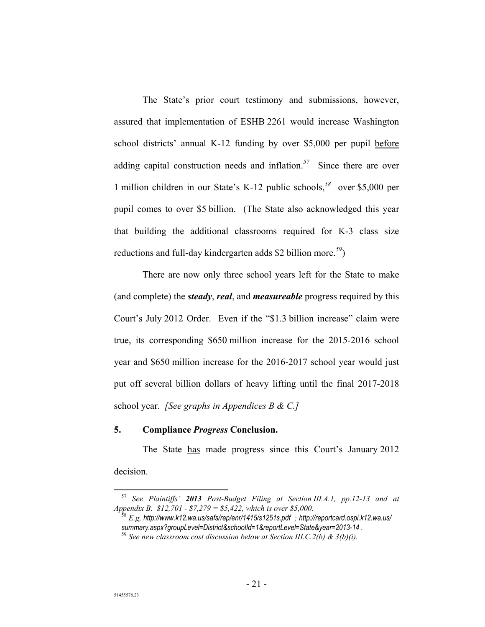The State's prior court testimony and submissions, however, assured that implementation of ESHB 2261 would increase Washington school districts' annual K-12 funding by over \$5,000 per pupil before adding capital construction needs and inflation.*<sup>57</sup>* Since there are over 1 million children in our State's K-12 public schools,*<sup>58</sup>* over \$5,000 per pupil comes to over \$5 billion. (The State also acknowledged this year that building the additional classrooms required for K-3 class size reductions and full-day kindergarten adds \$2 billion more.*<sup>59</sup>*)

There are now only three school years left for the State to make (and complete) the *steady*, *real*, and *measureable* progress required by this Court's July 2012 Order. Even if the "\$1.3 billion increase" claim were true, its corresponding \$650 million increase for the 2015-2016 school year and \$650 million increase for the 2016-2017 school year would just put off several billion dollars of heavy lifting until the final 2017-2018 school year. *[See graphs in Appendices B & C.]*

### **5. Compliance** *Progress* **Conclusion.**

The State has made progress since this Court's January 2012 decision.

 <sup>57</sup> *See Plaintiffs' 2013 Post-Budget Filing at Section III.A.1, pp.12-13 and at Appendix B. \$12,701 - \$7,279 = \$5,422, which is over \$5,000.* 

<sup>58</sup> *E.g, http://www.k12.wa.us/safs/rep/enr/1415/s1251s.pdf ; http://reportcard.ospi.k12.wa.us/ summary.aspx?groupLevel=District&schoolId=1&reportLevel=State&year=2013-14 .* 

<sup>59</sup> *See new classroom cost discussion below at Section III.C.2(b) & 3(b)(i).*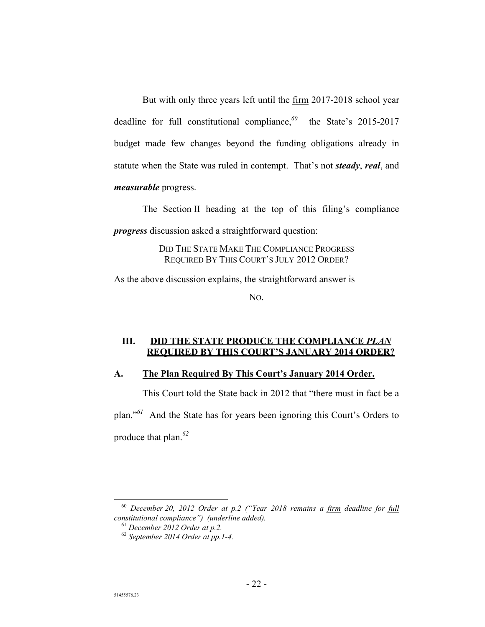But with only three years left until the firm 2017-2018 school year deadline for full constitutional compliance,*<sup>60</sup>* the State's 2015-2017 budget made few changes beyond the funding obligations already in statute when the State was ruled in contempt. That's not *steady*, *real*, and *measurable* progress.

The Section II heading at the top of this filing's compliance *progress* discussion asked a straightforward question:

> DID THE STATE MAKE THE COMPLIANCE PROGRESS REQUIRED BY THIS COURT'S JULY 2012 ORDER?

As the above discussion explains, the straightforward answer is

NO.

## **III. DID THE STATE PRODUCE THE COMPLIANCE** *PLAN* **REQUIRED BY THIS COURT'S JANUARY 2014 ORDER?**

## **A. The Plan Required By This Court's January 2014 Order.**

This Court told the State back in 2012 that "there must in fact be a plan."*<sup>61</sup>* And the State has for years been ignoring this Court's Orders to produce that plan.*<sup>62</sup>*

 <sup>60</sup> *December 20, 2012 Order at p.2 ("Year 2018 remains a firm deadline for full constitutional compliance") (underline added).* 

<sup>61</sup> *December 2012 Order at p.2.* 

<sup>62</sup> *September 2014 Order at pp.1-4.*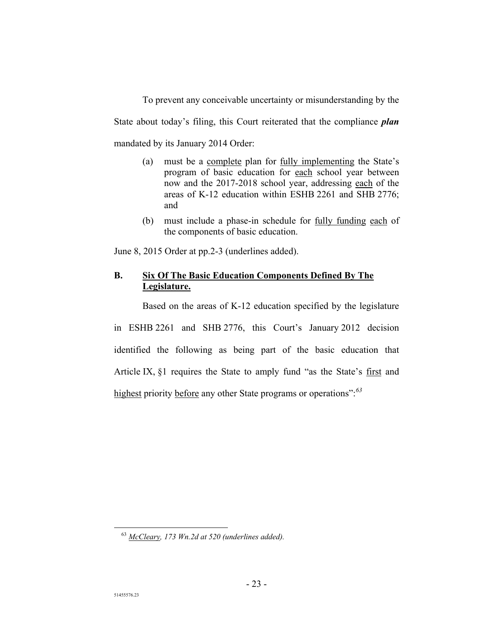To prevent any conceivable uncertainty or misunderstanding by the State about today's filing, this Court reiterated that the compliance *plan* mandated by its January 2014 Order:

- (a) must be a complete plan for fully implementing the State's program of basic education for each school year between now and the 2017-2018 school year, addressing each of the areas of K-12 education within ESHB 2261 and SHB 2776; and
- (b) must include a phase-in schedule for fully funding each of the components of basic education.

June 8, 2015 Order at pp.2-3 (underlines added).

## **B. Six Of The Basic Education Components Defined By The Legislature.**

Based on the areas of K-12 education specified by the legislature in ESHB 2261 and SHB 2776, this Court's January 2012 decision identified the following as being part of the basic education that Article IX, §1 requires the State to amply fund "as the State's first and highest priority before any other State programs or operations":*<sup>63</sup>*

 <sup>63</sup> *McCleary, 173 Wn.2d at 520 (underlines added).*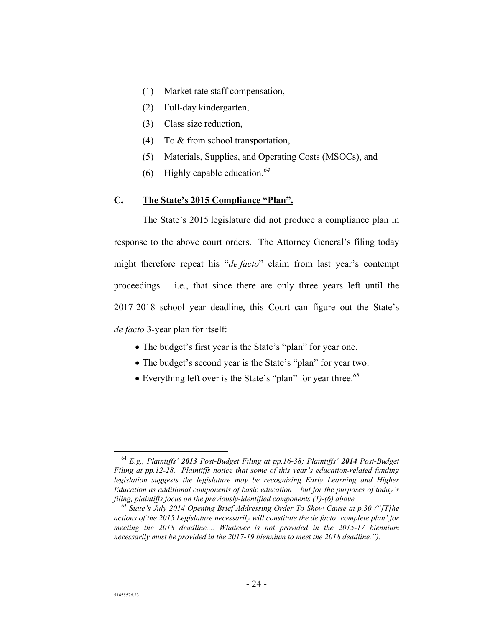- (1) Market rate staff compensation,
- (2) Full-day kindergarten,
- (3) Class size reduction,
- (4) To & from school transportation,
- (5) Materials, Supplies, and Operating Costs (MSOCs), and
- (6) Highly capable education.*<sup>64</sup>*

## **C. The State's 2015 Compliance "Plan".**

The State's 2015 legislature did not produce a compliance plan in response to the above court orders. The Attorney General's filing today might therefore repeat his "*de facto*" claim from last year's contempt proceedings – i.e., that since there are only three years left until the 2017-2018 school year deadline, this Court can figure out the State's *de facto* 3-year plan for itself:

- The budget's first year is the State's "plan" for year one.
- The budget's second year is the State's "plan" for year two.
- Everything left over is the State's "plan" for year three.*<sup>65</sup>*

 <sup>64</sup> *E.g., Plaintiffs' 2013 Post-Budget Filing at pp.16-38; Plaintiffs' 2014 Post-Budget Filing at pp.12-28. Plaintiffs notice that some of this year's education-related funding legislation suggests the legislature may be recognizing Early Learning and Higher Education as additional components of basic education – but for the purposes of today's filing, plaintiffs focus on the previously-identified components (1)-(6) above.* 

<sup>65</sup> *State's July 2014 Opening Brief Addressing Order To Show Cause at p.30 ("[T]he actions of the 2015 Legislature necessarily will constitute the de facto 'complete plan' for meeting the 2018 deadline.... Whatever is not provided in the 2015-17 biennium necessarily must be provided in the 2017-19 biennium to meet the 2018 deadline.").*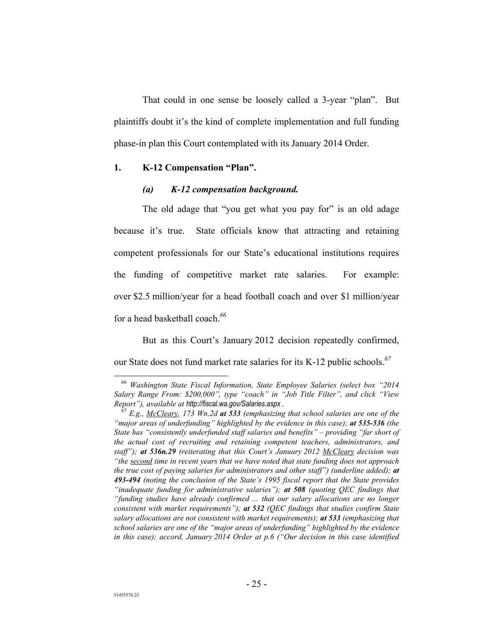That could in one sense be loosely called a 3-year "plan". But plaintiffs doubt it's the kind of complete implementation and full funding phase-in plan this Court contemplated with its January 2014 Order.

### **1. K-12 Compensation "Plan".**

## *(a) K-12 compensation background.*

The old adage that "you get what you pay for" is an old adage because it's true. State officials know that attracting and retaining competent professionals for our State's educational institutions requires the funding of competitive market rate salaries. For example: over \$2.5 million/year for a head football coach and over \$1 million/year for a head basketball coach.*<sup>66</sup>*

But as this Court's January 2012 decision repeatedly confirmed, our State does not fund market rate salaries for its K-12 public schools.*<sup>67</sup>*

 <sup>66</sup> *Washington State Fiscal Information, State Employee Salaries (select box "2014 Salary Range From: \$200,000", type "coach" in "Job Title Filter", and click "View Report"), available at http://fiscal.wa.gov/Salaries.aspx .* 

<sup>67</sup> *E.g., McCleary, 173 Wn.2d at 533 (emphasizing that school salaries are one of the "major areas of underfunding" highlighted by the evidence in this case); at 535-536 (the State has "consistently underfunded staff salaries and benefits" – providing "far short of the actual cost of recruiting and retaining competent teachers, administrators, and staff"); at 536n.29 (reiterating that this Court's January 2012 McCleary decision was "the second time in recent years that we have noted that state funding does not approach the true cost of paying salaries for administrators and other staff") (underline added); at 493-494 (noting the conclusion of the State's 1995 fiscal report that the State provides "inadequate funding for administrative salaries"); at 508 (quoting QEC findings that "funding studies have already confirmed ... that our salary allocations are no longer consistent with market requirements"); at 532 (QEC findings that studies confirm State salary allocations are not consistent with market requirements); at 533 (emphasizing that school salaries are one of the "major areas of underfunding" highlighted by the evidence in this case); accord, January 2014 Order at p.6 ("Our decision in this case identified*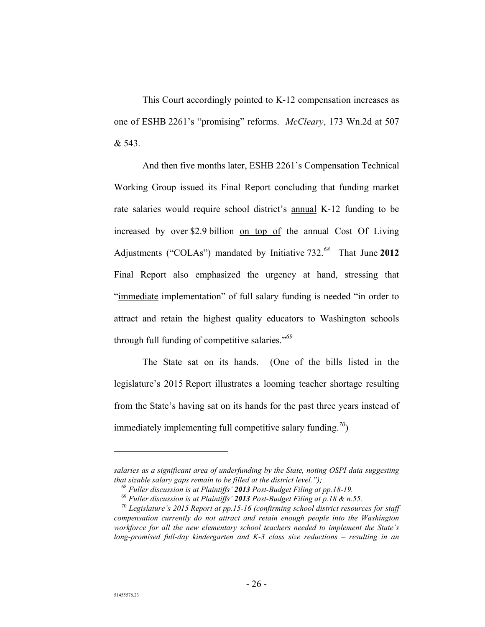This Court accordingly pointed to K-12 compensation increases as one of ESHB 2261's "promising" reforms. *McCleary*, 173 Wn.2d at 507 & 543.

And then five months later, ESHB 2261's Compensation Technical Working Group issued its Final Report concluding that funding market rate salaries would require school district's annual K-12 funding to be increased by over \$2.9 billion on top of the annual Cost Of Living Adjustments ("COLAs") mandated by Initiative 732.*<sup>68</sup>* That June **2012** Final Report also emphasized the urgency at hand, stressing that "immediate implementation" of full salary funding is needed "in order to attract and retain the highest quality educators to Washington schools through full funding of competitive salaries."*<sup>69</sup>*

The State sat on its hands. (One of the bills listed in the legislature's 2015 Report illustrates a looming teacher shortage resulting from the State's having sat on its hands for the past three years instead of immediately implementing full competitive salary funding.*<sup>70</sup>*)

 $\overline{a}$ 

*salaries as a significant area of underfunding by the State, noting OSPI data suggesting that sizable salary gaps remain to be filled at the district level.");* 

<sup>68</sup> *Fuller discussion is at Plaintiffs' 2013 Post-Budget Filing at pp.18-19.* 

<sup>69</sup> *Fuller discussion is at Plaintiffs' 2013 Post-Budget Filing at p.18 & n.55.* 

<sup>70</sup> *Legislature's 2015 Report at pp.15-16 (confirming school district resources for staff compensation currently do not attract and retain enough people into the Washington workforce for all the new elementary school teachers needed to implement the State's long-promised full-day kindergarten and K-3 class size reductions – resulting in an*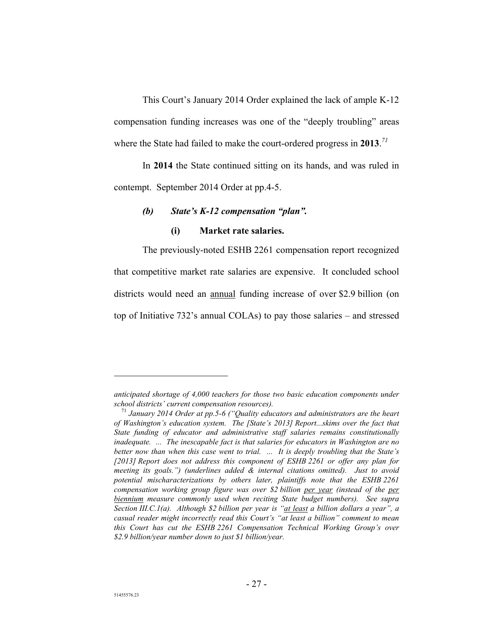This Court's January 2014 Order explained the lack of ample K-12 compensation funding increases was one of the "deeply troubling" areas where the State had failed to make the court-ordered progress in **2013**. *71*

In **2014** the State continued sitting on its hands, and was ruled in contempt. September 2014 Order at pp.4-5.

### *(b) State's K-12 compensation "plan".*

## **(i) Market rate salaries.**

The previously-noted ESHB 2261 compensation report recognized that competitive market rate salaries are expensive. It concluded school districts would need an annual funding increase of over \$2.9 billion (on top of Initiative 732's annual COLAs) to pay those salaries – and stressed

 $\overline{a}$ 

*anticipated shortage of 4,000 teachers for those two basic education components under school districts' current compensation resources).* 

<sup>71</sup> *January 2014 Order at pp.5-6 ("Quality educators and administrators are the heart of Washington's education system. The [State's 2013] Report...skims over the fact that State funding of educator and administrative staff salaries remains constitutionally inadequate. ... The inescapable fact is that salaries for educators in Washington are no better now than when this case went to trial. ... It is deeply troubling that the State's [2013] Report does not address this component of ESHB 2261 or offer any plan for meeting its goals.") (underlines added & internal citations omitted). Just to avoid potential mischaracterizations by others later, plaintiffs note that the ESHB 2261 compensation working group figure was over \$2 billion per year (instead of the per biennium measure commonly used when reciting State budget numbers). See supra Section III.C.1(a). Although \$2 billion per year is "at least a billion dollars a year", a casual reader might incorrectly read this Court's "at least a billion" comment to mean this Court has cut the ESHB 2261 Compensation Technical Working Group's over \$2.9 billion/year number down to just \$1 billion/year.*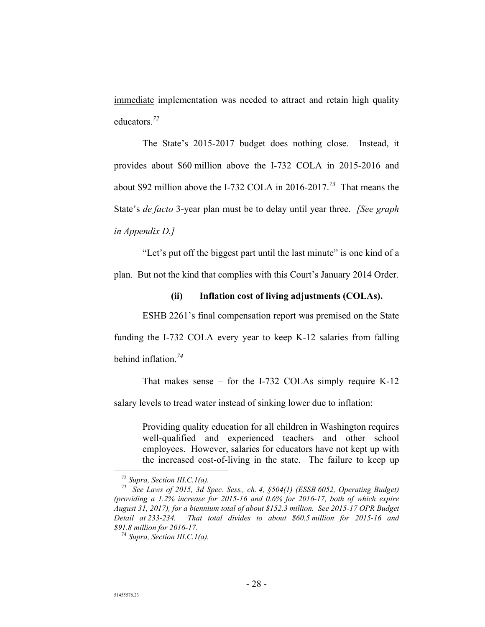immediate implementation was needed to attract and retain high quality educators.*<sup>72</sup>*

The State's 2015-2017 budget does nothing close. Instead, it provides about \$60 million above the I-732 COLA in 2015-2016 and about \$92 million above the I-732 COLA in 2016-2017.*<sup>73</sup>* That means the State's *de facto* 3-year plan must be to delay until year three. *[See graph in Appendix D.]* 

"Let's put off the biggest part until the last minute" is one kind of a plan. But not the kind that complies with this Court's January 2014 Order.

## **(ii) Inflation cost of living adjustments (COLAs).**

ESHB 2261's final compensation report was premised on the State funding the I-732 COLA every year to keep K-12 salaries from falling behind inflation.*<sup>74</sup>*

That makes sense – for the I-732 COLAs simply require K-12

salary levels to tread water instead of sinking lower due to inflation:

Providing quality education for all children in Washington requires well-qualified and experienced teachers and other school employees. However, salaries for educators have not kept up with the increased cost-of-living in the state. The failure to keep up

 <sup>72</sup> *Supra, Section III.C.1(a).* 

<sup>73</sup> *See Laws of 2015, 3d Spec. Sess., ch. 4, §504(1) (ESSB 6052, Operating Budget) (providing a 1.2% increase for 2015-16 and 0.6% for 2016-17, both of which expire August 31, 2017), for a biennium total of about \$152.3 million. See 2015-17 OPR Budget Detail at 233-234. That total divides to about \$60.5 million for 2015-16 and \$91.8 million for 2016-17.* 

<sup>74</sup> *Supra, Section III.C.1(a).*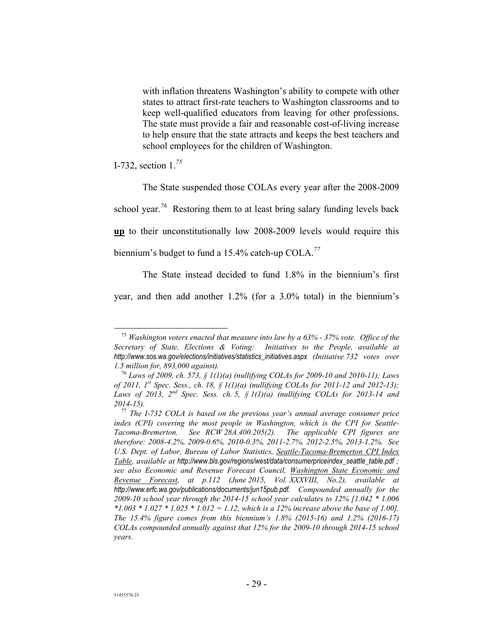with inflation threatens Washington's ability to compete with other states to attract first-rate teachers to Washington classrooms and to keep well-qualified educators from leaving for other professions. The state must provide a fair and reasonable cost-of-living increase to help ensure that the state attracts and keeps the best teachers and school employees for the children of Washington.

I-732, section 1.*<sup>75</sup>*

The State suspended those COLAs every year after the 2008-2009 school year.<sup>76</sup> Restoring them to at least bring salary funding levels back **up** to their unconstitutionally low 2008-2009 levels would require this biennium's budget to fund a 15.4% catch-up COLA.*<sup>77</sup>*

The State instead decided to fund 1.8% in the biennium's first year, and then add another 1.2% (for a 3.0% total) in the biennium's

 <sup>75</sup> *Washington voters enacted that measure into law by a 63% - 37% vote. Office of the Secretary of State, Elections & Voting: Initiatives to the People, available at http://www.sos.wa.gov/elections/initiatives/statistics\_initiatives.aspx (Initiative 732 votes over 1.5 million for, 893,000 against).* 

<sup>76</sup> *Laws of 2009, ch. 573, § 1(1)(a) (nullifying COLAs for 2009-10 and 2010-11); Laws of 2011, 1st Spec. Sess., ch. 18, § 1(1)(a) (nullifying COLAs for 2011-12 and 2012-13); Laws of 2013, 2nd Spec. Sess. ch. 5, § 1(1)(a) (nullifying COLAs for 2013-14 and 2014-15).* 

<sup>77</sup> *The I-732 COLA is based on the previous year's annual average consumer price index (CPI) covering the most people in Washington, which is the CPI for Seattle-Tacoma-Bremerton. See RCW 28A.400.205(2). The applicable CPI figures are therefore: 2008-4.2%, 2009-0.6%, 2010-0.3%, 2011-2.7%, 2012-2.5%, 2013-1.2%. See U.S. Dept. of Labor, Bureau of Labor Statistics, Seattle-Tacoma-Bremerton CPI Index Table, available at http://www.bls.gov/regions/west/data/consumerpriceindex\_seattle\_table.pdf ; see also Economic and Revenue Forecast Council, Washington State Economic and Revenue Forecast, at p.112 (June 2015, Vol. XXXVIII, No.2), available at http://www.erfc.wa.gov/publications/documents/jun15pub.pdf. Compounded annually for the 2009-10 school year through the 2014-15 school year calculates to 12% [1.042 \* 1.006 \*1.003 \* 1.027 \* 1.025 \* 1.012 = 1.12, which is a 12% increase above the base of 1.00]. The 15.4% figure comes from this biennium's 1.8% (2015-16) and 1.2% (2016-17) COLAs compounded annually against that 12% for the 2009-10 through 2014-15 school years.*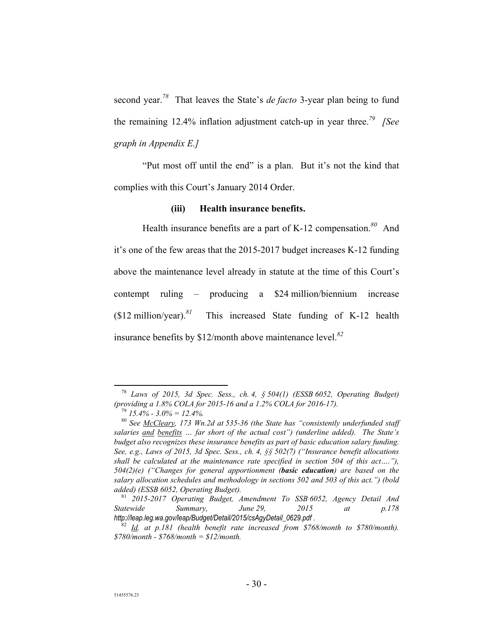second year.*<sup>78</sup>* That leaves the State's *de facto* 3-year plan being to fund the remaining 12.4% inflation adjustment catch-up in year three.*<sup>79</sup> [See graph in Appendix E.]*

"Put most off until the end" is a plan. But it's not the kind that complies with this Court's January 2014 Order.

## **(iii) Health insurance benefits.**

Health insurance benefits are a part of K-12 compensation.*<sup>80</sup>* And it's one of the few areas that the 2015-2017 budget increases K-12 funding above the maintenance level already in statute at the time of this Court's contempt ruling – producing a \$24 million/biennium increase (\$12 million/year).*<sup>81</sup>* This increased State funding of K-12 health insurance benefits by \$12/month above maintenance level.*<sup>82</sup>*

 <sup>78</sup> *Laws of 2015, 3d Spec. Sess., ch. 4, § 504(1) (ESSB 6052, Operating Budget) (providing a 1.8% COLA for 2015-16 and a 1.2% COLA for 2016-17).* 

<sup>79</sup> *15.4% - 3.0% = 12.4%.* 

<sup>80</sup> *See McCleary, 173 Wn.2d at 535-36 (the State has "consistently underfunded staff salaries and benefits … far short of the actual cost") (underline added). The State's budget also recognizes these insurance benefits as part of basic education salary funding. See, e.g., Laws of 2015, 3d Spec. Sess., ch. 4, §§ 502(7) ("Insurance benefit allocations shall be calculated at the maintenance rate specified in section 504 of this act…."), 504(2)(e) ("Changes for general apportionment (basic education) are based on the salary allocation schedules and methodology in sections 502 and 503 of this act.") (bold added) (ESSB 6052, Operating Budget).* 

<sup>81</sup> *2015-2017 Operating Budget, Amendment To SSB 6052, Agency Detail And Statewide Summary, June 29, 2015 at p.178 http://leap.leg.wa.gov/leap/Budget/Detail/2015/csAgyDetail\_0629.pdf .* 

<sup>82</sup> *Id. at p.181 (health benefit rate increased from \$768/month to \$780/month). \$780/month - \$768/month = \$12/month.*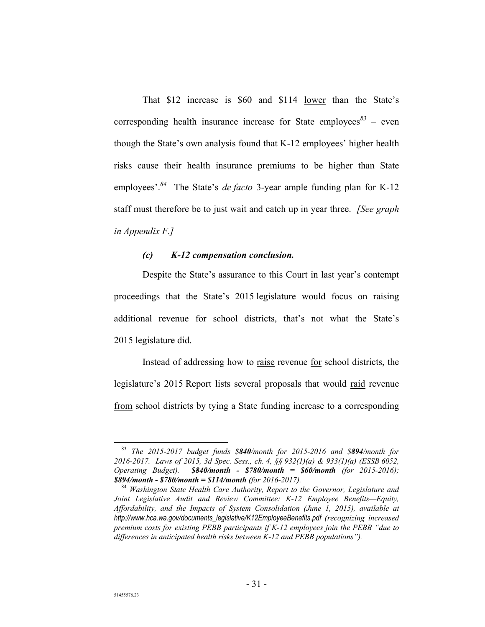That \$12 increase is \$60 and \$114 lower than the State's corresponding health insurance increase for State employees<sup>83</sup> – even though the State's own analysis found that K-12 employees' higher health risks cause their health insurance premiums to be higher than State employees'.*<sup>84</sup>* The State's *de facto* 3-year ample funding plan for K-12 staff must therefore be to just wait and catch up in year three. *[See graph in Appendix F.]* 

### *(c) K-12 compensation conclusion.*

Despite the State's assurance to this Court in last year's contempt proceedings that the State's 2015 legislature would focus on raising additional revenue for school districts, that's not what the State's 2015 legislature did.

Instead of addressing how to raise revenue for school districts, the legislature's 2015 Report lists several proposals that would raid revenue from school districts by tying a State funding increase to a corresponding

 <sup>83</sup> *The 2015-2017 budget funds \$840/month for 2015-2016 and \$894/month for 2016-2017. Laws of 2015, 3d Spec. Sess., ch. 4, §§ 932(1)(a) & 933(1)(a) (ESSB 6052, Operating Budget). \$840/month - \$780/month = \$60/month (for 2015-2016); \$894/month - \$780/month = \$114/month (for 2016-2017).* 

<sup>84</sup> *Washington State Health Care Authority, Report to the Governor, Legislature and Joint Legislative Audit and Review Committee: K-12 Employee Benefits—Equity, Affordability, and the Impacts of System Consolidation (June 1, 2015), available at http://www.hca.wa.gov/documents\_legislative/K12EmployeeBenefits.pdf (recognizing increased premium costs for existing PEBB participants if K-12 employees join the PEBB "due to differences in anticipated health risks between K-12 and PEBB populations").*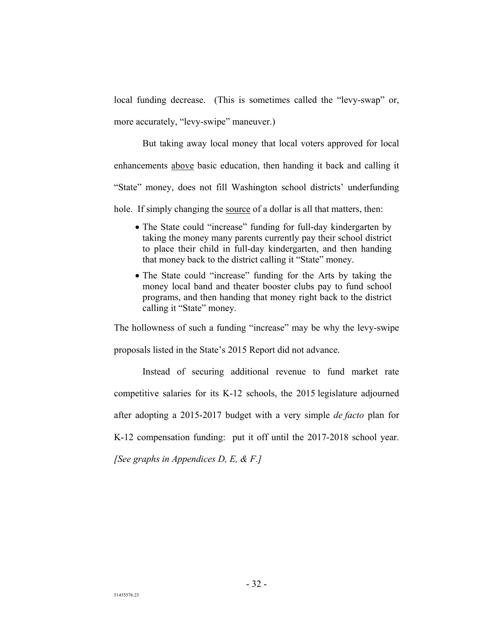local funding decrease. (This is sometimes called the "levy-swap" or, more accurately, "levy-swipe" maneuver.)

But taking away local money that local voters approved for local enhancements above basic education, then handing it back and calling it "State" money, does not fill Washington school districts' underfunding hole. If simply changing the source of a dollar is all that matters, then:

- The State could "increase" funding for full-day kindergarten by taking the money many parents currently pay their school district to place their child in full-day kindergarten, and then handing that money back to the district calling it "State" money.
- The State could "increase" funding for the Arts by taking the money local band and theater booster clubs pay to fund school programs, and then handing that money right back to the district calling it "State" money.

The hollowness of such a funding "increase" may be why the levy-swipe proposals listed in the State's 2015 Report did not advance.

Instead of securing additional revenue to fund market rate competitive salaries for its K-12 schools, the 2015 legislature adjourned after adopting a 2015-2017 budget with a very simple *de facto* plan for K-12 compensation funding: put it off until the 2017-2018 school year.

*[See graphs in Appendices D, E, & F.]*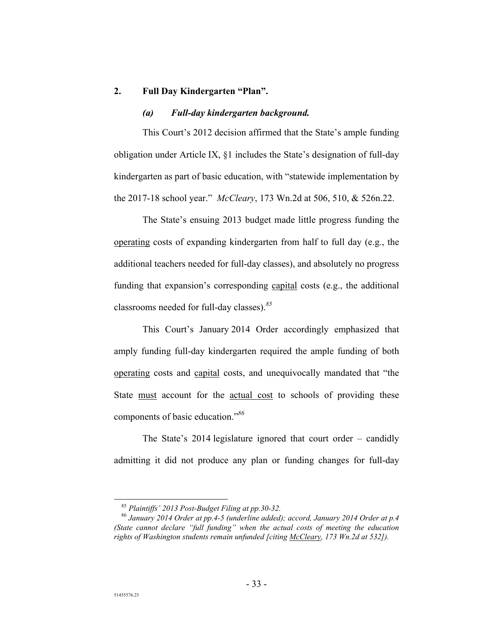## **2. Full Day Kindergarten "Plan".**

#### *(a) Full-day kindergarten background.*

This Court's 2012 decision affirmed that the State's ample funding obligation under Article IX, §1 includes the State's designation of full-day kindergarten as part of basic education, with "statewide implementation by the 2017-18 school year." *McCleary*, 173 Wn.2d at 506, 510, & 526n.22.

The State's ensuing 2013 budget made little progress funding the operating costs of expanding kindergarten from half to full day (e.g., the additional teachers needed for full-day classes), and absolutely no progress funding that expansion's corresponding capital costs (e.g., the additional classrooms needed for full-day classes).*<sup>85</sup>*

This Court's January 2014 Order accordingly emphasized that amply funding full-day kindergarten required the ample funding of both operating costs and capital costs, and unequivocally mandated that "the State must account for the actual cost to schools of providing these components of basic education."*<sup>86</sup>*

The State's 2014 legislature ignored that court order – candidly admitting it did not produce any plan or funding changes for full-day

 <sup>85</sup> *Plaintiffs' 2013 Post-Budget Filing at pp.30-32.* 

<sup>86</sup> *January 2014 Order at pp.4-5 (underline added); accord, January 2014 Order at p.4 (State cannot declare "full funding" when the actual costs of meeting the education rights of Washington students remain unfunded [citing McCleary, 173 Wn.2d at 532]).*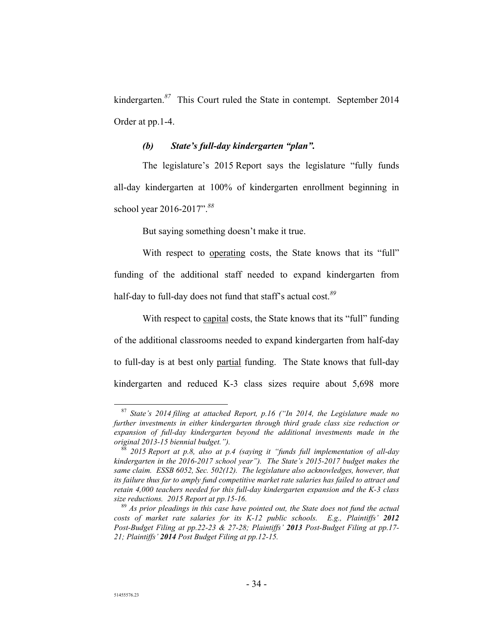kindergarten.*<sup>87</sup>* This Court ruled the State in contempt. September 2014 Order at pp.1-4.

## *(b) State's full-day kindergarten "plan".*

The legislature's 2015 Report says the legislature "fully funds all-day kindergarten at 100% of kindergarten enrollment beginning in school year 2016-2017".*<sup>88</sup>*

But saying something doesn't make it true.

With respect to operating costs, the State knows that its "full" funding of the additional staff needed to expand kindergarten from half-day to full-day does not fund that staff's actual cost.*<sup>89</sup>*

With respect to capital costs, the State knows that its "full" funding of the additional classrooms needed to expand kindergarten from half-day to full-day is at best only partial funding. The State knows that full-day kindergarten and reduced K-3 class sizes require about 5,698 more

 <sup>87</sup> *State's 2014 filing at attached Report, p.16 ("In 2014, the Legislature made no further investments in either kindergarten through third grade class size reduction or expansion of full-day kindergarten beyond the additional investments made in the original 2013-15 biennial budget.").*

<sup>88</sup> *2015 Report at p.8, also at p.4 (saying it "funds full implementation of all-day kindergarten in the 2016-2017 school year"). The State's 2015-2017 budget makes the same claim. ESSB 6052, Sec. 502(12). The legislature also acknowledges, however, that its failure thus far to amply fund competitive market rate salaries has failed to attract and retain 4,000 teachers needed for this full-day kindergarten expansion and the K-3 class size reductions. 2015 Report at pp.15-16.* 

<sup>89</sup> *As prior pleadings in this case have pointed out, the State does not fund the actual costs of market rate salaries for its K-12 public schools. E.g., Plaintiffs' 2012 Post-Budget Filing at pp.22-23 & 27-28; Plaintiffs' 2013 Post-Budget Filing at pp.17- 21; Plaintiffs' 2014 Post Budget Filing at pp.12-15.*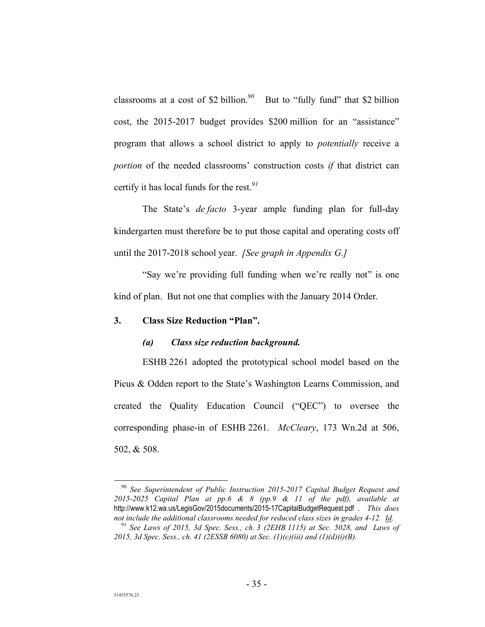classrooms at a cost of \$2 billion.*<sup>90</sup>* But to "fully fund" that \$2 billion cost, the 2015-2017 budget provides \$200 million for an "assistance" program that allows a school district to apply to *potentially* receive a *portion* of the needed classrooms' construction costs *if* that district can certify it has local funds for the rest.*<sup>91</sup>*

The State's *de facto* 3-year ample funding plan for full-day kindergarten must therefore be to put those capital and operating costs off until the 2017-2018 school year. *[See graph in Appendix G.]*

"Say we're providing full funding when we're really not" is one kind of plan. But not one that complies with the January 2014 Order.

### **3. Class Size Reduction "Plan".**

### *(a) Class size reduction background.*

ESHB 2261 adopted the prototypical school model based on the Picus & Odden report to the State's Washington Learns Commission, and created the Quality Education Council ("QEC") to oversee the corresponding phase-in of ESHB 2261. *McCleary*, 173 Wn.2d at 506, 502, & 508.

 <sup>90</sup> *See Superintendent of Public Instruction 2015-2017 Capital Budget Request and 2015-2025 Capital Plan at pp.6 & 8 (pp.9 & 11 of the pdf), available at* http://www.k12.wa.us/LegisGov/2015documents/2015-17CapitalBudgetRequest.pdf . *This does not include the additional classrooms needed for reduced class sizes in grades 4-12. Id.*

<sup>91</sup> *See Laws of 2015, 3d Spec. Sess., ch. 3 (2EHB 1115) at Sec. 5028, and Laws of 2015, 3d Spec. Sess., ch. 41 (2ESSB 6080) at Sec. (1)(c)(iii) and (1)(d)(i)(B).*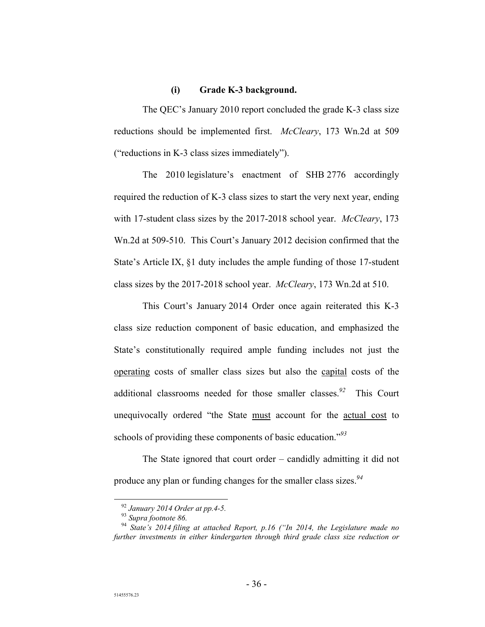### **(i) Grade K-3 background.**

The QEC's January 2010 report concluded the grade K-3 class size reductions should be implemented first. *McCleary*, 173 Wn.2d at 509 ("reductions in K-3 class sizes immediately").

The 2010 legislature's enactment of SHB 2776 accordingly required the reduction of K-3 class sizes to start the very next year, ending with 17-student class sizes by the 2017-2018 school year. *McCleary*, 173 Wn.2d at 509-510. This Court's January 2012 decision confirmed that the State's Article IX, §1 duty includes the ample funding of those 17-student class sizes by the 2017-2018 school year. *McCleary*, 173 Wn.2d at 510.

This Court's January 2014 Order once again reiterated this K-3 class size reduction component of basic education, and emphasized the State's constitutionally required ample funding includes not just the operating costs of smaller class sizes but also the capital costs of the additional classrooms needed for those smaller classes.*<sup>92</sup>* This Court unequivocally ordered "the State must account for the actual cost to schools of providing these components of basic education."*<sup>93</sup>*

The State ignored that court order – candidly admitting it did not produce any plan or funding changes for the smaller class sizes.*<sup>94</sup>*

 <sup>92</sup> *January 2014 Order at pp.4-5.*

<sup>93</sup> *Supra footnote 86.* 

<sup>94</sup> *State's 2014 filing at attached Report, p.16 ("In 2014, the Legislature made no further investments in either kindergarten through third grade class size reduction or*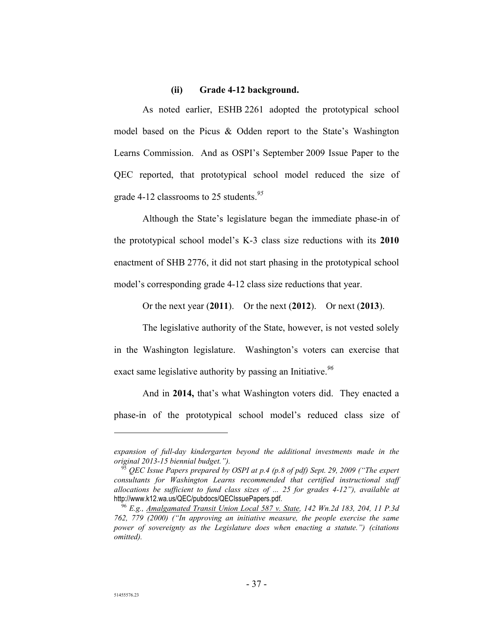#### **(ii) Grade 4-12 background.**

As noted earlier, ESHB 2261 adopted the prototypical school model based on the Picus & Odden report to the State's Washington Learns Commission. And as OSPI's September 2009 Issue Paper to the QEC reported, that prototypical school model reduced the size of grade 4-12 classrooms to 25 students.*<sup>95</sup>*

Although the State's legislature began the immediate phase-in of the prototypical school model's K-3 class size reductions with its **2010** enactment of SHB 2776, it did not start phasing in the prototypical school model's corresponding grade 4-12 class size reductions that year.

Or the next year (**2011**). Or the next (**2012**). Or next (**2013**).

The legislative authority of the State, however, is not vested solely in the Washington legislature. Washington's voters can exercise that exact same legislative authority by passing an Initiative.*<sup>96</sup>*

And in **2014,** that's what Washington voters did. They enacted a phase-in of the prototypical school model's reduced class size of

 $\overline{a}$ 

*expansion of full-day kindergarten beyond the additional investments made in the original 2013-15 biennial budget.").*

<sup>95</sup> *QEC Issue Papers prepared by OSPI at p.4 (p.8 of pdf) Sept. 29, 2009 ("The expert consultants for Washington Learns recommended that certified instructional staff allocations be sufficient to fund class sizes of ... 25 for grades 4-12"), available at* http://www.k12.wa.us/QEC/pubdocs/QECIssuePapers.pdf.

<sup>96</sup> *E.g., Amalgamated Transit Union Local 587 v. State, 142 Wn.2d 183, 204, 11 P.3d 762, 779 (2000) ("In approving an initiative measure, the people exercise the same power of sovereignty as the Legislature does when enacting a statute.") (citations omitted).*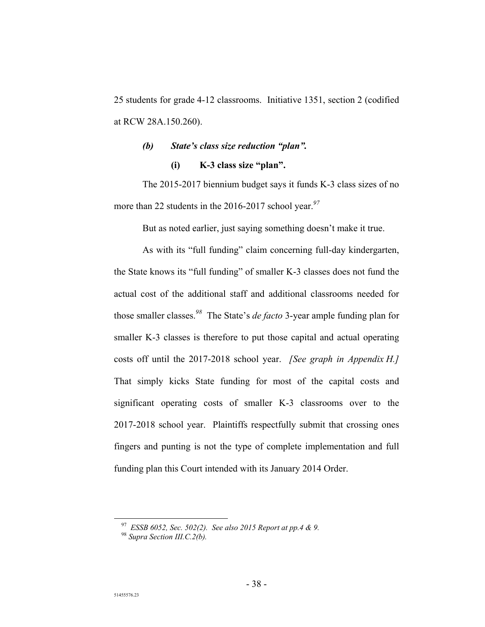25 students for grade 4-12 classrooms. Initiative 1351, section 2 (codified at RCW 28A.150.260).

## *(b) State's class size reduction "plan".*  **(i) K-3 class size "plan".**

The 2015-2017 biennium budget says it funds K-3 class sizes of no more than 22 students in the 2016-2017 school year.*<sup>97</sup>*

But as noted earlier, just saying something doesn't make it true.

As with its "full funding" claim concerning full-day kindergarten, the State knows its "full funding" of smaller K-3 classes does not fund the actual cost of the additional staff and additional classrooms needed for those smaller classes.*<sup>98</sup>* The State's *de facto* 3-year ample funding plan for smaller K-3 classes is therefore to put those capital and actual operating costs off until the 2017-2018 school year. *[See graph in Appendix H.]* That simply kicks State funding for most of the capital costs and significant operating costs of smaller K-3 classrooms over to the 2017-2018 school year. Plaintiffs respectfully submit that crossing ones fingers and punting is not the type of complete implementation and full funding plan this Court intended with its January 2014 Order.

 <sup>97</sup> *ESSB 6052, Sec. 502(2). See also 2015 Report at pp.4 & 9.* 

<sup>98</sup> *Supra Section III.C.2(b).*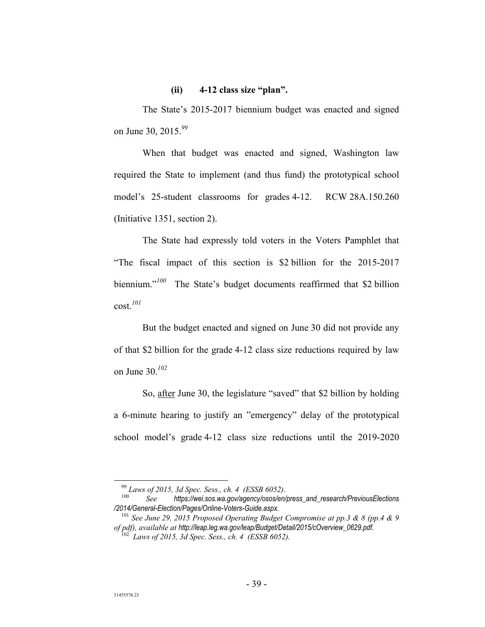### **(ii) 4-12 class size "plan".**

The State's 2015-2017 biennium budget was enacted and signed on June 30, 2015.*<sup>99</sup>*

When that budget was enacted and signed, Washington law required the State to implement (and thus fund) the prototypical school model's 25-student classrooms for grades 4-12. RCW 28A.150.260 (Initiative 1351, section 2).

The State had expressly told voters in the Voters Pamphlet that "The fiscal impact of this section is \$2 billion for the 2015-2017 biennium."*<sup>100</sup>* The State's budget documents reaffirmed that \$2 billion cost.*<sup>101</sup>*

But the budget enacted and signed on June 30 did not provide any of that \$2 billion for the grade 4-12 class size reductions required by law on June 30.*<sup>102</sup>*

So, after June 30, the legislature "saved" that \$2 billion by holding a 6-minute hearing to justify an "emergency" delay of the prototypical school model's grade 4-12 class size reductions until the 2019-2020

<sup>&</sup>lt;sup>99</sup> Laws of 2015, 3d Spec. Sess., ch. 4 (ESSB 6052).<br><sup>100</sup> See bttps://wei.sos.wa.gov/agency/osos/en/

<sup>100</sup> *See https://wei.sos.wa.gov/agency/osos/en/press\_and\_research/PreviousElections /2014/General-Election/Pages/Online-Voters-Guide.aspx.* 

<sup>101</sup> *See June 29, 2015 Proposed Operating Budget Compromise at pp.3 & 8 (pp.4 & 9 of pdf), available at http://leap.leg.wa.gov/leap/Budget/Detail/2015/cOverview\_0629.pdf.*

<sup>102</sup> *Laws of 2015, 3d Spec. Sess., ch. 4 (ESSB 6052).*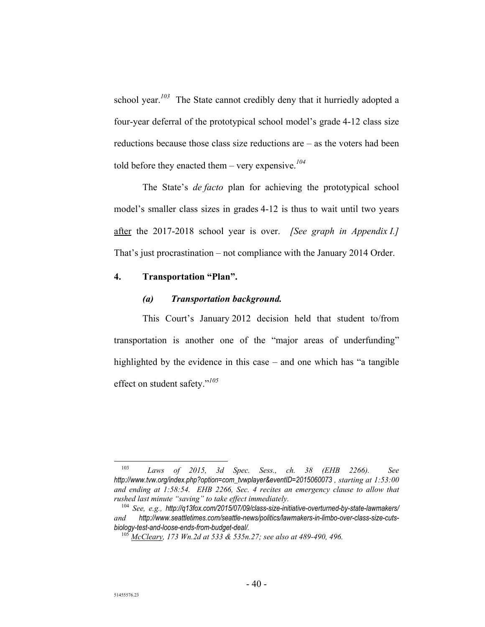school year.*<sup>103</sup>* The State cannot credibly deny that it hurriedly adopted a four-year deferral of the prototypical school model's grade 4-12 class size reductions because those class size reductions are – as the voters had been told before they enacted them – very expensive.*<sup>104</sup>*

The State's *de facto* plan for achieving the prototypical school model's smaller class sizes in grades 4-12 is thus to wait until two years after the 2017-2018 school year is over. *[See graph in Appendix I.]* That's just procrastination – not compliance with the January 2014 Order.

## **4. Transportation "Plan".**

### *(a) Transportation background.*

This Court's January 2012 decision held that student to/from transportation is another one of the "major areas of underfunding" highlighted by the evidence in this case – and one which has "a tangible effect on student safety."*<sup>105</sup>*

 <sup>103</sup> *Laws of 2015, 3d Spec. Sess., ch. 38 (EHB 2266). See http://www.tvw.org/index.php?option=com\_tvwplayer&eventID=2015060073 , starting at 1:53:00 and ending at 1:58:54. EHB 2266, Sec. 4 recites an emergency clause to allow that rushed last minute "saving" to take effect immediately.* 

<sup>104</sup> *See, e.g., http://q13fox.com/2015/07/09/class-size-initiative-overturned-by-state-lawmakers/ and http://www.seattletimes.com/seattle-news/politics/lawmakers-in-limbo-over-class-size-cutsbiology-test-and-loose-ends-from-budget-deal/.* 

<sup>105</sup> *McCleary, 173 Wn.2d at 533 & 535n.27; see also at 489-490, 496.*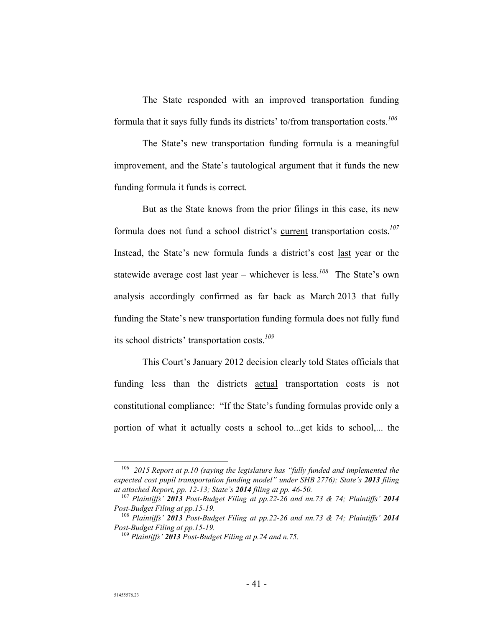The State responded with an improved transportation funding formula that it says fully funds its districts' to/from transportation costs.*<sup>106</sup>*

The State's new transportation funding formula is a meaningful improvement, and the State's tautological argument that it funds the new funding formula it funds is correct.

But as the State knows from the prior filings in this case, its new formula does not fund a school district's current transportation costs.*<sup>107</sup>* Instead, the State's new formula funds a district's cost last year or the statewide average cost last year – whichever is less.*<sup>108</sup>* The State's own analysis accordingly confirmed as far back as March 2013 that fully funding the State's new transportation funding formula does not fully fund its school districts' transportation costs.*<sup>109</sup>*

This Court's January 2012 decision clearly told States officials that funding less than the districts actual transportation costs is not constitutional compliance: "If the State's funding formulas provide only a portion of what it actually costs a school to...get kids to school,... the

 <sup>106</sup> *2015 Report at p.10 (saying the legislature has "fully funded and implemented the expected cost pupil transportation funding model" under SHB 2776); State's 2013 filing at attached Report, pp. 12-13; State's 2014 filing at pp. 46-50.* 

<sup>107</sup> *Plaintiffs' 2013 Post-Budget Filing at pp.22-26 and nn.73 & 74; Plaintiffs' 2014 Post-Budget Filing at pp.15-19.* 

<sup>108</sup> *Plaintiffs' 2013 Post-Budget Filing at pp.22-26 and nn.73 & 74; Plaintiffs' 2014 Post-Budget Filing at pp.15-19.* 

<sup>109</sup> *Plaintiffs' 2013 Post-Budget Filing at p.24 and n.75.*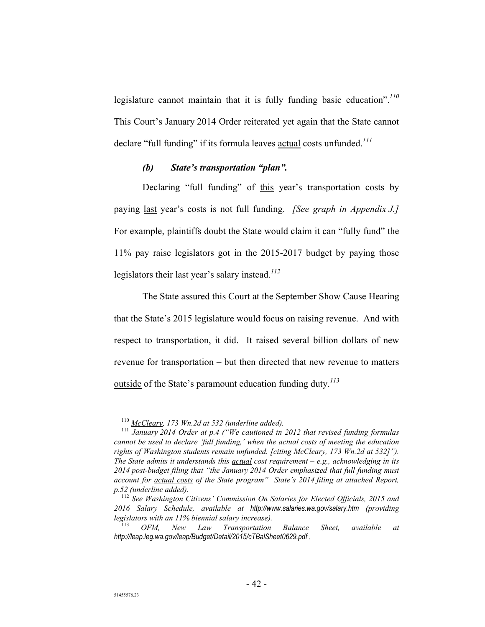legislature cannot maintain that it is fully funding basic education".*<sup>110</sup>* This Court's January 2014 Order reiterated yet again that the State cannot declare "full funding" if its formula leaves actual costs unfunded.*<sup>111</sup>*

## *(b) State's transportation "plan".*

Declaring "full funding" of this year's transportation costs by paying last year's costs is not full funding. *[See graph in Appendix J.]* For example, plaintiffs doubt the State would claim it can "fully fund" the 11% pay raise legislators got in the 2015-2017 budget by paying those legislators their last year's salary instead.*<sup>112</sup>*

The State assured this Court at the September Show Cause Hearing that the State's 2015 legislature would focus on raising revenue. And with respect to transportation, it did. It raised several billion dollars of new revenue for transportation – but then directed that new revenue to matters outside of the State's paramount education funding duty.*<sup>113</sup>*

 <sup>110</sup> *McCleary, 173 Wn.2d at 532 (underline added).* 

<sup>111</sup> *January 2014 Order at p.4 ("We cautioned in 2012 that revised funding formulas cannot be used to declare 'full funding,' when the actual costs of meeting the education rights of Washington students remain unfunded. [citing McCleary, 173 Wn.2d at 532]"). The State admits it understands this actual cost requirement – e.g., acknowledging in its 2014 post-budget filing that "the January 2014 Order emphasized that full funding must account for actual costs of the State program" State's 2014 filing at attached Report, p.52 (underline added).* 

<sup>112</sup> *See Washington Citizens' Commission On Salaries for Elected Officials, 2015 and 2016 Salary Schedule, available at http://www.salaries.wa.gov/salary.htm (providing legislators with an 11% biennial salary increase).* 

<sup>113</sup> *OFM, New Law Transportation Balance Sheet, available at http://leap.leg.wa.gov/leap/Budget/Detail/2015/cTBalSheet0629.pdf .*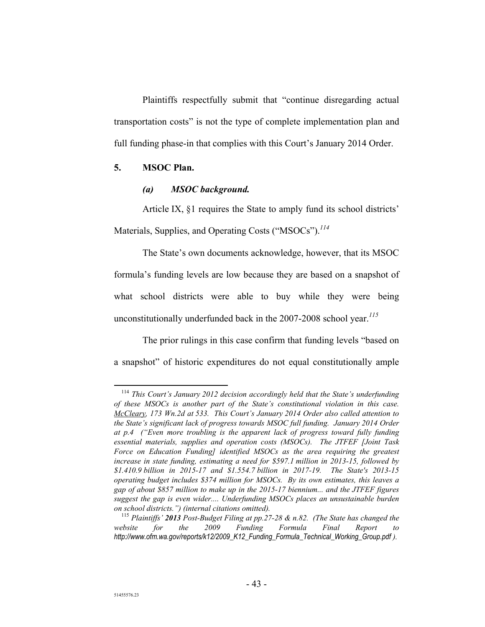Plaintiffs respectfully submit that "continue disregarding actual transportation costs" is not the type of complete implementation plan and full funding phase-in that complies with this Court's January 2014 Order.

## **5. MSOC Plan.**

### *(a) MSOC background.*

Article IX, §1 requires the State to amply fund its school districts' Materials, Supplies, and Operating Costs ("MSOCs").*<sup>114</sup>*

The State's own documents acknowledge, however, that its MSOC formula's funding levels are low because they are based on a snapshot of what school districts were able to buy while they were being unconstitutionally underfunded back in the 2007-2008 school year.*<sup>115</sup>*

The prior rulings in this case confirm that funding levels "based on a snapshot" of historic expenditures do not equal constitutionally ample

 <sup>114</sup> *This Court's January 2012 decision accordingly held that the State's underfunding of these MSOCs is another part of the State's constitutional violation in this case. McCleary, 173 Wn.2d at 533. This Court's January 2014 Order also called attention to the State's significant lack of progress towards MSOC full funding. January 2014 Order at p.4 ("Even more troubling is the apparent lack of progress toward fully funding essential materials, supplies and operation costs (MSOCs). The JTFEF [Joint Task Force on Education Funding] identified MSOCs as the area requiring the greatest increase in state funding, estimating a need for \$597.1 million in 2013-15, followed by \$1.410.9 billion in 2015-17 and \$1.554.7 billion in 2017-19. The State's 2013-15 operating budget includes \$374 million for MSOCs. By its own estimates, this leaves a gap of about \$857 million to make up in the 2015-17 biennium... and the JTFEF figures suggest the gap is even wider.... Underfunding MSOCs places an unsustainable burden on school districts.") (internal citations omitted).* 

<sup>115</sup> *Plaintiffs' 2013 Post-Budget Filing at pp.27-28 & n.82. (The State has changed the website for the 2009 Funding Formula Final Report to http://www.ofm.wa.gov/reports/k12/2009\_K12\_Funding\_Formula\_Technical\_Working\_Group.pdf ).*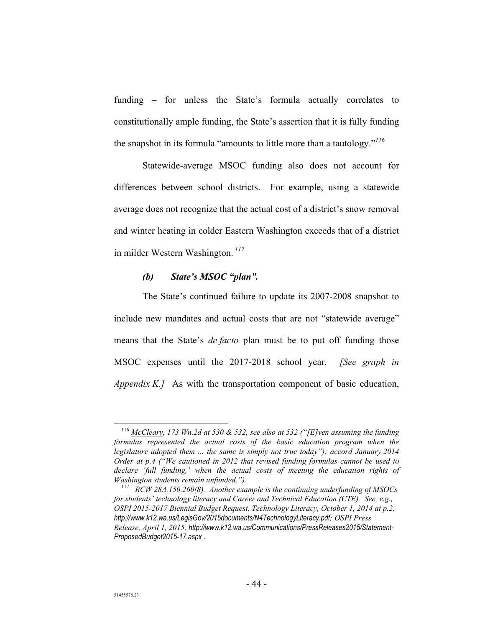funding – for unless the State's formula actually correlates to constitutionally ample funding, the State's assertion that it is fully funding the snapshot in its formula "amounts to little more than a tautology."*<sup>116</sup>*

Statewide-average MSOC funding also does not account for differences between school districts. For example, using a statewide average does not recognize that the actual cost of a district's snow removal and winter heating in colder Eastern Washington exceeds that of a district in milder Western Washington.*<sup>117</sup>*

### *(b) State's MSOC "plan".*

The State's continued failure to update its 2007-2008 snapshot to include new mandates and actual costs that are not "statewide average" means that the State's *de facto* plan must be to put off funding those MSOC expenses until the 2017-2018 school year. *[See graph in Appendix K.]* As with the transportation component of basic education,

 <sup>116</sup> *McCleary, 173 Wn.2d at 530 & 532, see also at 532 ("[E]ven assuming the funding*  formulas represented the actual costs of the basic education program when the *legislature adopted them ... the same is simply not true today"); accord January 2014 Order at p.4 ("We cautioned in 2012 that revised funding formulas cannot be used to declare 'full funding,' when the actual costs of meeting the education rights of Washington students remain unfunded.").* 

<sup>117</sup> *RCW 28A.150.260(8). Another example is the continuing underfunding of MSOCs for students' technology literacy and Career and Technical Education (CTE). See, e.g., OSPI 2015-2017 Biennial Budget Request, Technology Literacy, October 1, 2014 at p.2, http://www.k12.wa.us/LegisGov/2015documents/N4TechnologyLiteracy.pdf; OSPI Press Release, April 1, 2015, http://www.k12.wa.us/Communications/PressReleases2015/Statement-ProposedBudget2015-17.aspx .*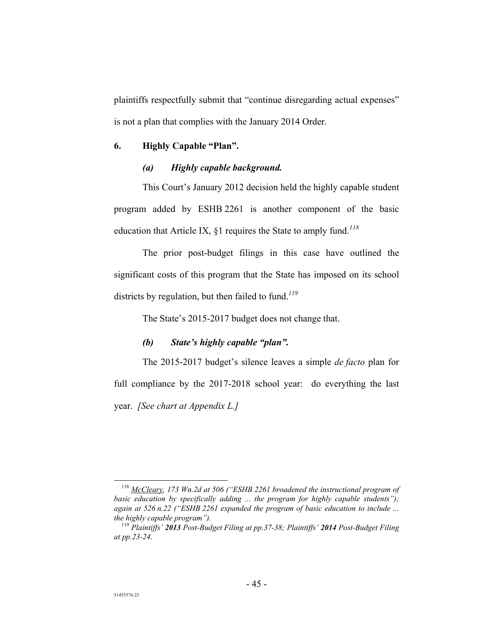plaintiffs respectfully submit that "continue disregarding actual expenses" is not a plan that complies with the January 2014 Order.

## **6. Highly Capable "Plan".**

## *(a) Highly capable background.*

This Court's January 2012 decision held the highly capable student program added by ESHB 2261 is another component of the basic education that Article IX, §1 requires the State to amply fund.*<sup>118</sup>*

The prior post-budget filings in this case have outlined the significant costs of this program that the State has imposed on its school districts by regulation, but then failed to fund.*<sup>119</sup>*

The State's 2015-2017 budget does not change that.

## *(b) State's highly capable "plan".*

The 2015-2017 budget's silence leaves a simple *de facto* plan for full compliance by the 2017-2018 school year: do everything the last year. *[See chart at Appendix L.]*

 <sup>118</sup> *McCleary, 173 Wn.2d at 506 ("ESHB 2261 broadened the instructional program of basic education by specifically adding ... the program for highly capable students"); again at 526 n.22 ("ESHB 2261 expanded the program of basic education to include ... the highly capable program").* 

<sup>119</sup> *Plaintiffs' 2013 Post-Budget Filing at pp.37-38; Plaintiffs' 2014 Post-Budget Filing at pp.23-24.*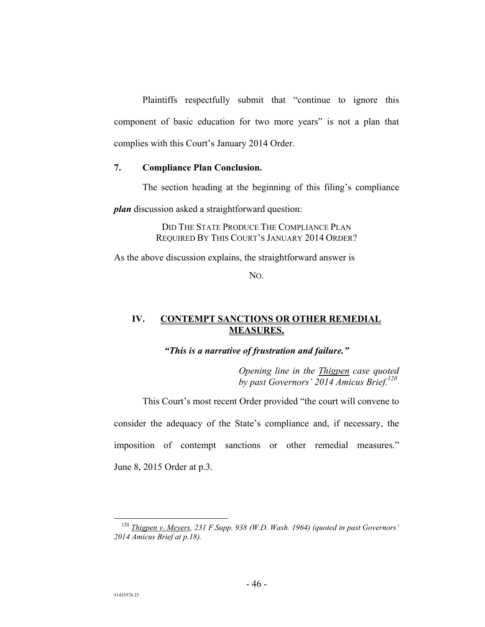Plaintiffs respectfully submit that "continue to ignore this component of basic education for two more years" is not a plan that complies with this Court's January 2014 Order.

### **7. Compliance Plan Conclusion.**

The section heading at the beginning of this filing's compliance

*plan* discussion asked a straightforward question:

DID THE STATE PRODUCE THE COMPLIANCE PLAN REQUIRED BY THIS COURT'S JANUARY 2014 ORDER?

As the above discussion explains, the straightforward answer is

NO.

## **IV. CONTEMPT SANCTIONS OR OTHER REMEDIAL MEASURES.**

*"This is a narrative of frustration and failure."* 

*Opening line in the Thigpen case quoted by past Governors' 2014 Amicus Brief.120*

This Court's most recent Order provided "the court will convene to consider the adequacy of the State's compliance and, if necessary, the imposition of contempt sanctions or other remedial measures." June 8, 2015 Order at p.3.

 <sup>120</sup> *Thigpen v. Meyers, 231 F.Supp. 938 (W.D. Wash. 1964) (quoted in past Governors' 2014 Amicus Brief at p.18).*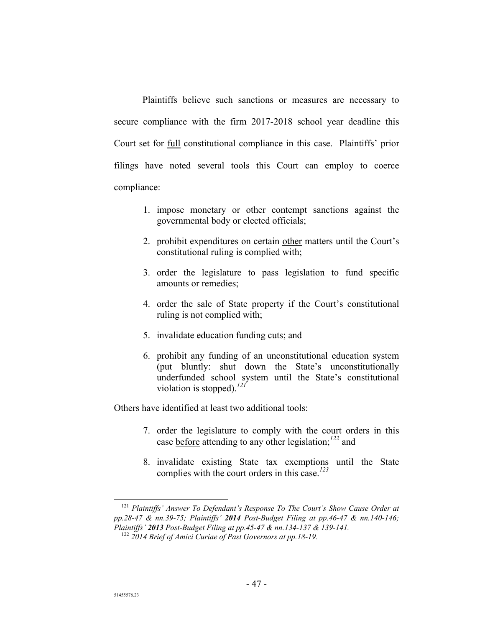Plaintiffs believe such sanctions or measures are necessary to secure compliance with the firm 2017-2018 school year deadline this Court set for full constitutional compliance in this case. Plaintiffs' prior filings have noted several tools this Court can employ to coerce compliance:

- 1. impose monetary or other contempt sanctions against the governmental body or elected officials;
- 2. prohibit expenditures on certain other matters until the Court's constitutional ruling is complied with;
- 3. order the legislature to pass legislation to fund specific amounts or remedies;
- 4. order the sale of State property if the Court's constitutional ruling is not complied with;
- 5. invalidate education funding cuts; and
- 6. prohibit any funding of an unconstitutional education system (put bluntly: shut down the State's unconstitutionally underfunded school system until the State's constitutional violation is stopped).*<sup>121</sup>*

Others have identified at least two additional tools:

- 7. order the legislature to comply with the court orders in this case before attending to any other legislation;*<sup>122</sup>* and
- 8. invalidate existing State tax exemptions until the State complies with the court orders in this case.*<sup>123</sup>*

 <sup>121</sup> *Plaintiffs' Answer To Defendant's Response To The Court's Show Cause Order at pp.28-47 & nn.39-75; Plaintiffs' 2014 Post-Budget Filing at pp.46-47 & nn.140-146; Plaintiffs' 2013 Post-Budget Filing at pp.45-47 & nn.134-137 & 139-141.* 

<sup>122</sup> *2014 Brief of Amici Curiae of Past Governors at pp.18-19.*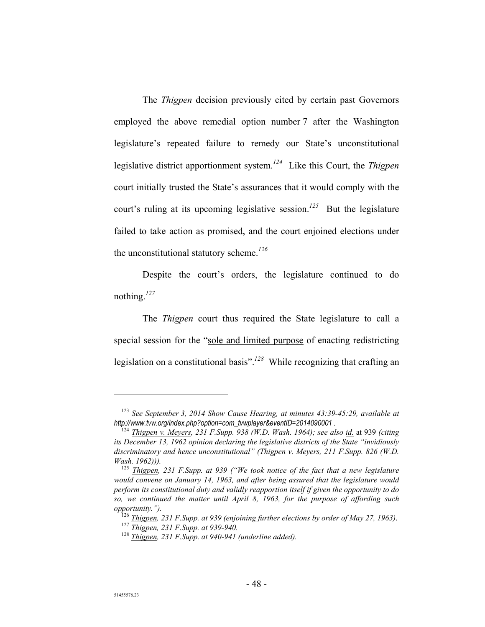The *Thigpen* decision previously cited by certain past Governors employed the above remedial option number 7 after the Washington legislature's repeated failure to remedy our State's unconstitutional legislative district apportionment system.*<sup>124</sup>* Like this Court, the *Thigpen*  court initially trusted the State's assurances that it would comply with the court's ruling at its upcoming legislative session.*<sup>125</sup>* But the legislature failed to take action as promised, and the court enjoined elections under the unconstitutional statutory scheme.*<sup>126</sup>*

Despite the court's orders, the legislature continued to do nothing.*<sup>127</sup>*

The *Thigpen* court thus required the State legislature to call a special session for the "sole and limited purpose of enacting redistricting legislation on a constitutional basis".*<sup>128</sup>* While recognizing that crafting an

1

<sup>123</sup> *See September 3, 2014 Show Cause Hearing, at minutes 43:39-45:29, available at http://www.tvw.org/index.php?option=com\_tvwplayer&eventID=2014090001 .* 

<sup>124</sup> *Thigpen v. Meyers, 231 F.Supp. 938 (W.D. Wash. 1964); see also id.* at 939 *(citing its December 13, 1962 opinion declaring the legislative districts of the State "invidiously discriminatory and hence unconstitutional" (Thigpen v. Meyers, 211 F.Supp. 826 (W.D. Wash. 1962))).* 

<sup>&</sup>lt;sup>125</sup> Thigpen, 231 F.Supp. at 939 ("We took notice of the fact that a new legislature *would convene on January 14, 1963, and after being assured that the legislature would perform its constitutional duty and validly reapportion itself if given the opportunity to do so, we continued the matter until April 8, 1963, for the purpose of affording such opportunity.").* 

<sup>126</sup> *Thigpen, 231 F.Supp. at 939 (enjoining further elections by order of May 27, 1963)*.

<sup>127</sup> *Thigpen, 231 F.Supp. at 939-940.* 

<sup>128</sup> *Thigpen, 231 F.Supp. at 940-941 (underline added).*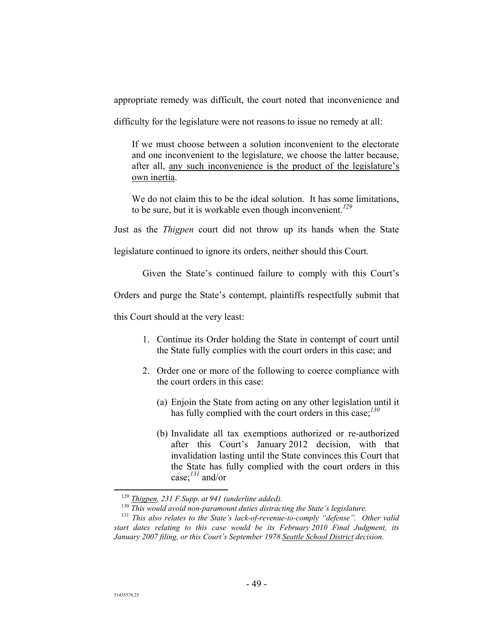appropriate remedy was difficult, the court noted that inconvenience and

difficulty for the legislature were not reasons to issue no remedy at all:

If we must choose between a solution inconvenient to the electorate and one inconvenient to the legislature, we choose the latter because, after all, any such inconvenience is the product of the legislature's own inertia.

We do not claim this to be the ideal solution. It has some limitations, to be sure, but it is workable even though inconvenient.*<sup>129</sup>*

Just as the *Thigpen* court did not throw up its hands when the State

legislature continued to ignore its orders, neither should this Court.

Given the State's continued failure to comply with this Court's

Orders and purge the State's contempt, plaintiffs respectfully submit that

this Court should at the very least:

- 1. Continue its Order holding the State in contempt of court until the State fully complies with the court orders in this case; and
- 2. Order one or more of the following to coerce compliance with the court orders in this case:
	- (a) Enjoin the State from acting on any other legislation until it has fully complied with the court orders in this case;*<sup>130</sup>*
	- (b) Invalidate all tax exemptions authorized or re-authorized after this Court's January 2012 decision, with that invalidation lasting until the State convinces this Court that the State has fully complied with the court orders in this case;*<sup>131</sup>* and/or

 <sup>129</sup> *Thigpen, 231 F.Supp. at 941 (underline added).* 

<sup>130</sup> *This would avoid non-paramount duties distracting the State's legislature.* 

<sup>131</sup> *This also relates to the State's lack-of-revenue-to-comply "defense". Other valid start dates relating to this case would be its February 2010 Final Judgment, its January 2007 filing, or this Court's September 1978 Seattle School District decision.*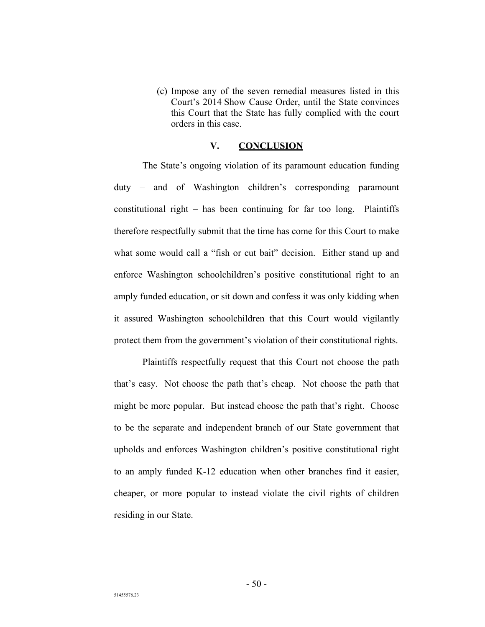(c) Impose any of the seven remedial measures listed in this Court's 2014 Show Cause Order, until the State convinces this Court that the State has fully complied with the court orders in this case.

## **V. CONCLUSION**

The State's ongoing violation of its paramount education funding duty – and of Washington children's corresponding paramount constitutional right – has been continuing for far too long. Plaintiffs therefore respectfully submit that the time has come for this Court to make what some would call a "fish or cut bait" decision. Either stand up and enforce Washington schoolchildren's positive constitutional right to an amply funded education, or sit down and confess it was only kidding when it assured Washington schoolchildren that this Court would vigilantly protect them from the government's violation of their constitutional rights.

Plaintiffs respectfully request that this Court not choose the path that's easy. Not choose the path that's cheap. Not choose the path that might be more popular. But instead choose the path that's right. Choose to be the separate and independent branch of our State government that upholds and enforces Washington children's positive constitutional right to an amply funded K-12 education when other branches find it easier, cheaper, or more popular to instead violate the civil rights of children residing in our State.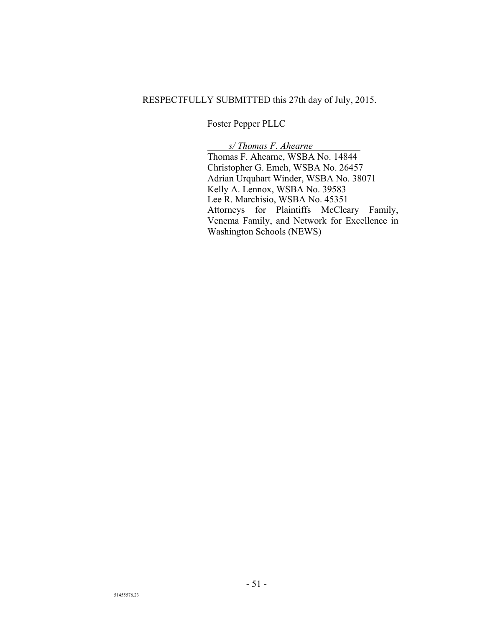## RESPECTFULLY SUBMITTED this 27th day of July, 2015.

Foster Pepper PLLC

 *s/ Thomas F. Ahearne .* Thomas F. Ahearne, WSBA No. 14844 Christopher G. Emch, WSBA No. 26457 Adrian Urquhart Winder, WSBA No. 38071 Kelly A. Lennox, WSBA No. 39583 Lee R. Marchisio, WSBA No. 45351 Attorneys for Plaintiffs McCleary Family, Venema Family, and Network for Excellence in Washington Schools (NEWS)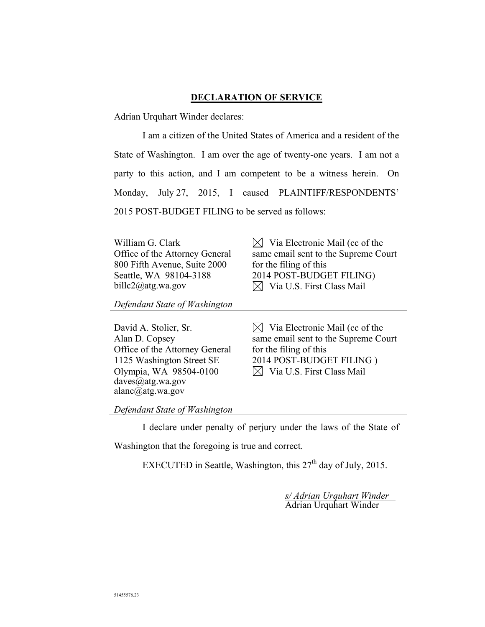## **DECLARATION OF SERVICE**

Adrian Urquhart Winder declares:

I am a citizen of the United States of America and a resident of the State of Washington. I am over the age of twenty-one years. I am not a party to this action, and I am competent to be a witness herein. On Monday, July 27, 2015, I caused PLAINTIFF/RESPONDENTS' 2015 POST-BUDGET FILING to be served as follows:

William G. Clark Office of the Attorney General 800 Fifth Avenue, Suite 2000 Seattle, WA 98104-3188 billc2@atg.wa.gov

 $\boxtimes$  Via Electronic Mail (cc of the same email sent to the Supreme Court for the filing of this 2014 POST-BUDGET FILING)  $\boxtimes$  Via U.S. First Class Mail

*Defendant State of Washington* 

David A. Stolier, Sr. Alan D. Copsey Office of the Attorney General 1125 Washington Street SE Olympia, WA 98504-0100 daves@atg.wa.gov alanc $\overline{a}$ atg.wa.gov

 $\boxtimes$  Via Electronic Mail (cc of the same email sent to the Supreme Court for the filing of this 2014 POST-BUDGET FILING )  $\boxtimes$  Via U.S. First Class Mail

*Defendant State of Washington*

I declare under penalty of perjury under the laws of the State of

Washington that the foregoing is true and correct.

EXECUTED in Seattle, Washington, this  $27<sup>th</sup>$  day of July, 2015.

*s/ Adrian Urquhart Winder*  Adrian Urquhart Winder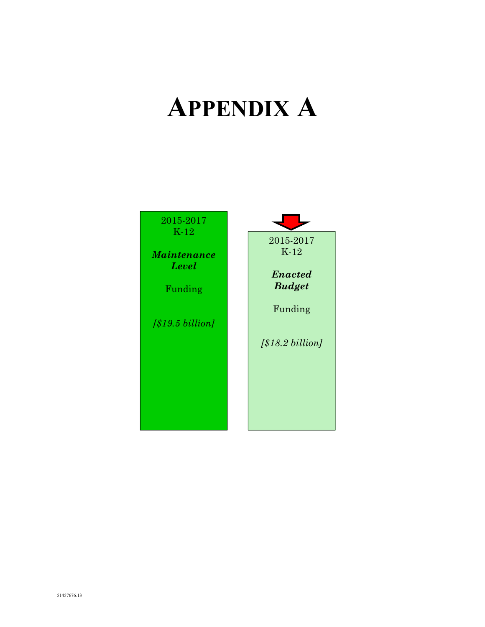# **APPENDIX A**

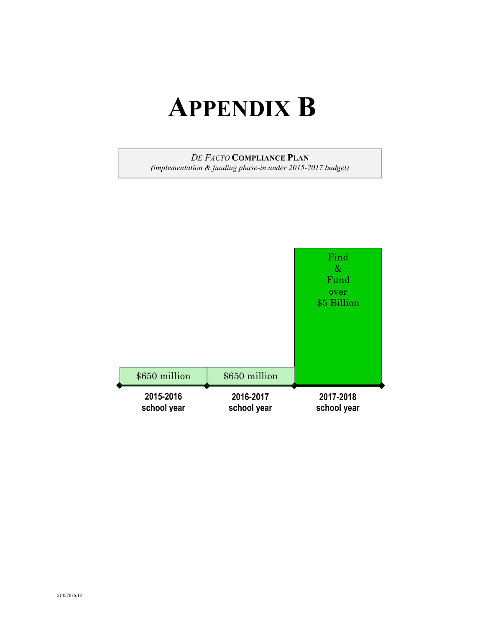## **APPENDIX B**

## *DE FACTO* **COMPLIANCE PLAN**

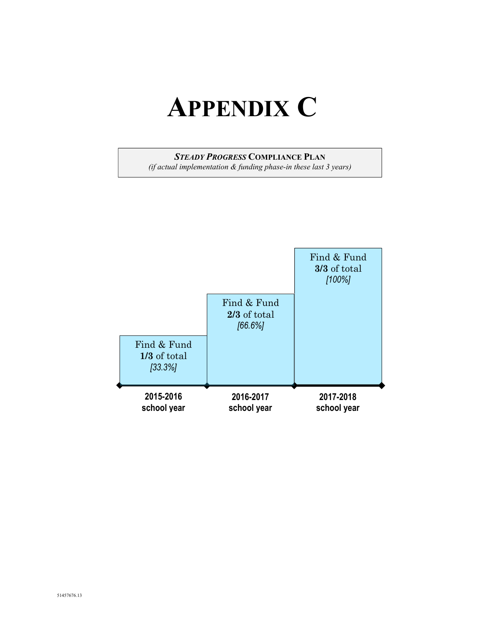## **APPENDIX C**

## *STEADY PROGRESS* **COMPLIANCE PLAN**

*(if actual implementation & funding phase-in these last 3 years)* 

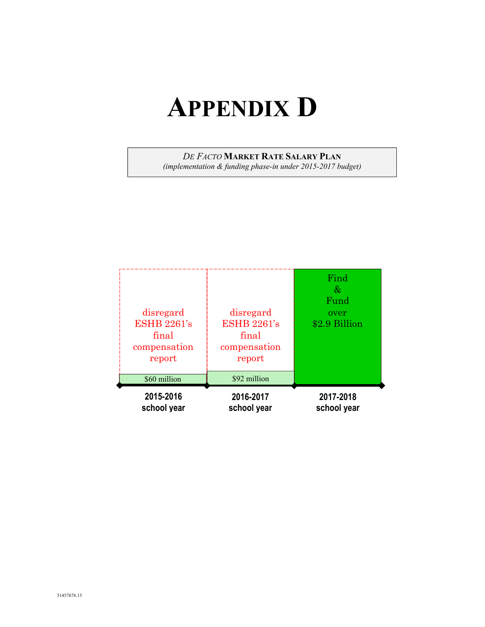## **APPENDIX D**

*DE FACTO* **MARKET RATE SALARY PLAN**

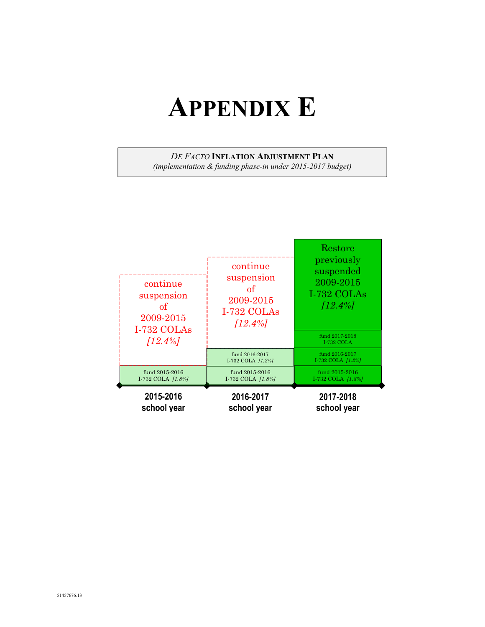## **APPENDIX E**

## *DE FACTO* **INFLATION ADJUSTMENT PLAN**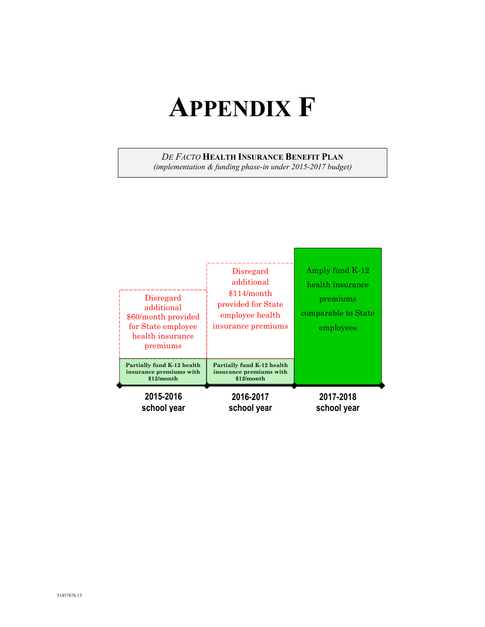## **APPENDIX F**

*DE FACTO* **HEALTH INSURANCE BENEFIT PLAN**

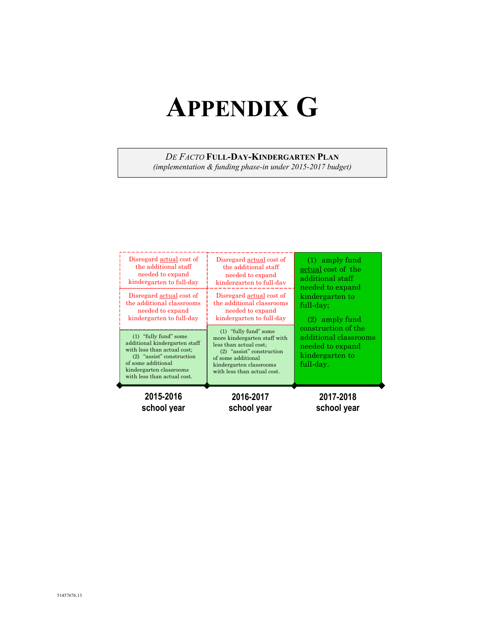## **APPENDIX G**

## *DE FACTO* **FULL-DAY-KINDERGARTEN PLAN**

| 2015-2016                                                                                                                                                                                            | 2016-2017                                                                                                                                                                                      | 2017-2018                                                                                                                                            |
|------------------------------------------------------------------------------------------------------------------------------------------------------------------------------------------------------|------------------------------------------------------------------------------------------------------------------------------------------------------------------------------------------------|------------------------------------------------------------------------------------------------------------------------------------------------------|
| school year                                                                                                                                                                                          | school year                                                                                                                                                                                    | school year                                                                                                                                          |
| (1) "fully fund" some<br>additional kindergarten staff<br>with less than actual cost;<br>$(2)$ "assist" construction<br>of some additional<br>kindergarten classrooms<br>with less than actual cost. | (1) "fully fund" some<br>more kindergarten staff with<br>less than actual cost;<br>$(2)$ "assist" construction<br>of some additional<br>kindergarten classrooms<br>with less than actual cost. | kindergarten to<br>full-day;<br>$(2)$ amply fund<br>construction of the<br>additional classrooms<br>needed to expand<br>kindergarten to<br>full-day. |
| Disregard actual cost of<br>the additional classrooms<br>needed to expand<br>kindergarten to full-day                                                                                                | Disregard actual cost of<br>the additional classrooms<br>needed to expand<br>kindergarten to full-day                                                                                          |                                                                                                                                                      |
| Disregard actual cost of                                                                                                                                                                             | Disregard actual cost of                                                                                                                                                                       | $(1)$ amply fund                                                                                                                                     |
| the additional staff                                                                                                                                                                                 | the additional staff                                                                                                                                                                           | actual cost of the                                                                                                                                   |
| needed to expand                                                                                                                                                                                     | needed to expand                                                                                                                                                                               | additional staff                                                                                                                                     |
| kindergarten to full-day                                                                                                                                                                             | kindergarten to full-dav                                                                                                                                                                       | needed to expand                                                                                                                                     |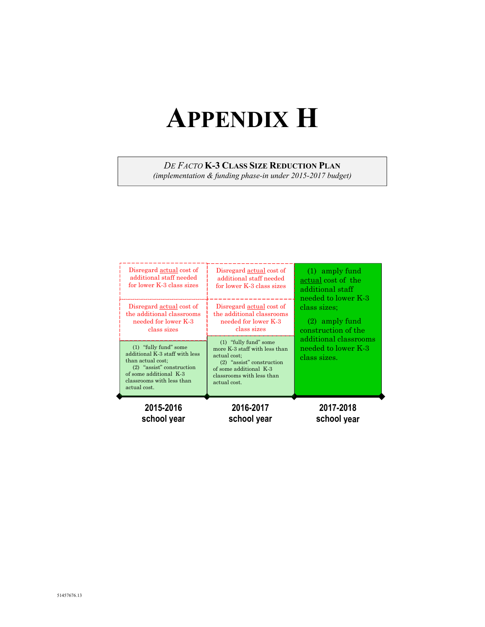## **APPENDIX H**

*DE FACTO* **K-3 CLASS SIZE REDUCTION PLAN**

| 2015-2016                                                                                                                                                                          | 2016-2017                                                                                                                                                                    | 2017-2018                                                    |
|------------------------------------------------------------------------------------------------------------------------------------------------------------------------------------|------------------------------------------------------------------------------------------------------------------------------------------------------------------------------|--------------------------------------------------------------|
| school year                                                                                                                                                                        | school year                                                                                                                                                                  | school year                                                  |
| (1) "fully fund" some<br>additional K-3 staff with less<br>than actual cost;<br>$(2)$ "assist" construction<br>of some additional K-3<br>classrooms with less than<br>actual cost. | (1) "fully fund" some<br>more K-3 staff with less than<br>actual cost:<br>$(2)$ "assist" construction<br>of some additional K-3<br>classrooms with less than<br>actual cost. | additional classrooms<br>needed to lower K-3<br>class sizes. |
| Disregard actual cost of                                                                                                                                                           | Disregard actual cost of                                                                                                                                                     | needed to lower K-3                                          |
| the additional classrooms                                                                                                                                                          | the additional classrooms                                                                                                                                                    | class sizes:                                                 |
| needed for lower K-3                                                                                                                                                               | needed for lower K-3                                                                                                                                                         | $(2)$ amply fund                                             |
| class sizes                                                                                                                                                                        | class sizes                                                                                                                                                                  | construction of the                                          |
| Disregard actual cost of                                                                                                                                                           | Disregard actual cost of                                                                                                                                                     | $(1)$ amply fund                                             |
| additional staff needed                                                                                                                                                            | additional staff needed                                                                                                                                                      | actual cost of the                                           |
| for lower K-3 class sizes                                                                                                                                                          | for lower K-3 class sizes                                                                                                                                                    | additional staff                                             |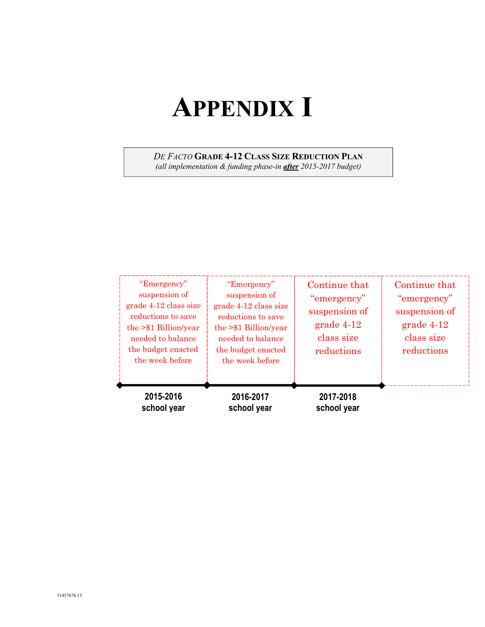# **APPENDIX I**

## *DE FACTO* **GRADE 4-12 CLASS SIZE REDUCTION PLAN**

| "Emergency"<br>suspension of<br>grade 4-12 class size<br>reductions to save<br>the $> $1 \text{ Billion/year}$<br>needed to balance<br>the budget enacted<br>the week before | "Emergency"<br>suspension of<br>grade 4-12 class size<br>reductions to save<br>the $> $1 \text{ Billion/year}$<br>needed to balance<br>the budget enacted<br>the week before | Continue that<br>"emergency"<br>suspension of<br>$grade 4-12$<br>class size<br>reductions | Continue that<br>"emergency"<br>suspension of<br>$grade 4-12$<br>class size<br>reductions |
|------------------------------------------------------------------------------------------------------------------------------------------------------------------------------|------------------------------------------------------------------------------------------------------------------------------------------------------------------------------|-------------------------------------------------------------------------------------------|-------------------------------------------------------------------------------------------|
| 2015-2016<br>school year                                                                                                                                                     | 2016-2017<br>school year                                                                                                                                                     | 2017-2018<br>school year                                                                  |                                                                                           |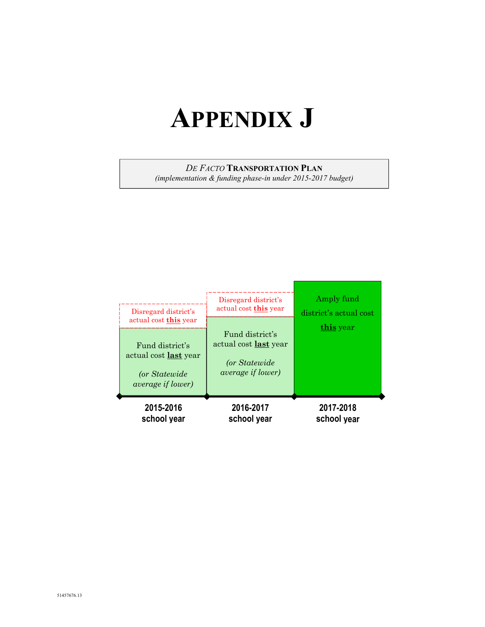## **APPENDIX J**

## *DE FACTO* **TRANSPORTATION PLAN**

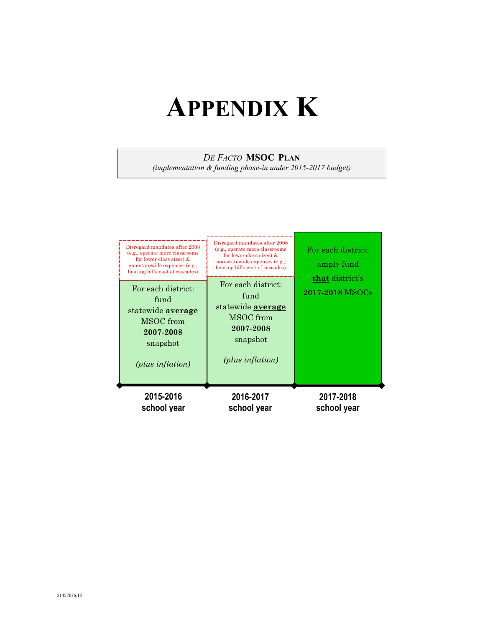## **APPENDIX K**

## *DE FACTO* **MSOC PLAN**

| For each district:<br>For each district:<br>fund<br>fund<br>statewide <b>average</b><br>statewide <b>average</b><br>MSOC from<br>MSOC from<br>2007-2008<br>2007-2008<br>snapshot<br>snapshot                                                                                                                                           | 2017-2018 MSOCs                                     |
|----------------------------------------------------------------------------------------------------------------------------------------------------------------------------------------------------------------------------------------------------------------------------------------------------------------------------------------|-----------------------------------------------------|
| Disregard mandates after 2008<br>Disregard mandates after 2008<br>(e.g., operate more classrooms<br>(e.g., operate more classrooms<br>for lower class sizes) $&$<br>for lower class sizes) $&$<br>non-statewide expenses (e.g.,<br>non-statewide expenses (e.g.,<br>heating bills east of cascades)<br>heating bills east of cascades) | For each district:<br>amply fund<br>that district's |